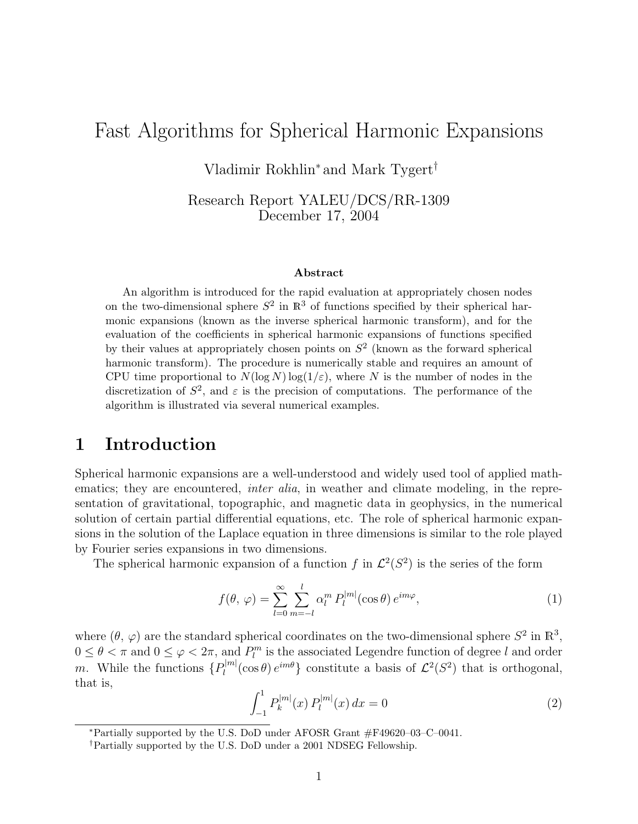# Fast Algorithms for Spherical Harmonic Expansions

Vladimir Rokhlin<sup>∗</sup> and Mark Tygert†

Research Report YALEU/DCS/RR-1309 December 17, 2004

#### Abstract

An algorithm is introduced for the rapid evaluation at appropriately chosen nodes on the two-dimensional sphere  $S^2$  in  $\mathbb{R}^3$  of functions specified by their spherical harmonic expansions (known as the inverse spherical harmonic transform), and for the evaluation of the coefficients in spherical harmonic expansions of functions specified by their values at appropriately chosen points on  $S<sup>2</sup>$  (known as the forward spherical harmonic transform). The procedure is numerically stable and requires an amount of CPU time proportional to  $N(\log N) \log(1/\varepsilon)$ , where N is the number of nodes in the discretization of  $S^2$ , and  $\varepsilon$  is the precision of computations. The performance of the algorithm is illustrated via several numerical examples.

# 1 Introduction

Spherical harmonic expansions are a well-understood and widely used tool of applied mathematics; they are encountered, *inter alia*, in weather and climate modeling, in the representation of gravitational, topographic, and magnetic data in geophysics, in the numerical solution of certain partial differential equations, etc. The role of spherical harmonic expansions in the solution of the Laplace equation in three dimensions is similar to the role played by Fourier series expansions in two dimensions.

The spherical harmonic expansion of a function f in  $\mathcal{L}^2(S^2)$  is the series of the form

$$
f(\theta, \varphi) = \sum_{l=0}^{\infty} \sum_{m=-l}^{l} \alpha_l^m P_l^{|m|}(\cos \theta) e^{im\varphi}, \qquad (1)
$$

where  $(\theta, \varphi)$  are the standard spherical coordinates on the two-dimensional sphere  $S^2$  in  $\mathbb{R}^3$ ,  $0 \le \theta < \pi$  and  $0 \le \varphi < 2\pi$ , and  $P_l^m$  is the associated Legendre function of degree l and order m. While the functions  $\{P_l^{|m|}$  $\mathcal{L}^2(S^2)$  that is orthogonal, that is,

$$
\int_{-1}^{1} P_k^{|m|}(x) P_l^{|m|}(x) dx = 0 \tag{2}
$$

<sup>∗</sup>Partially supported by the U.S. DoD under AFOSR Grant #F49620–03–C–0041.

<sup>†</sup>Partially supported by the U.S. DoD under a 2001 NDSEG Fellowship.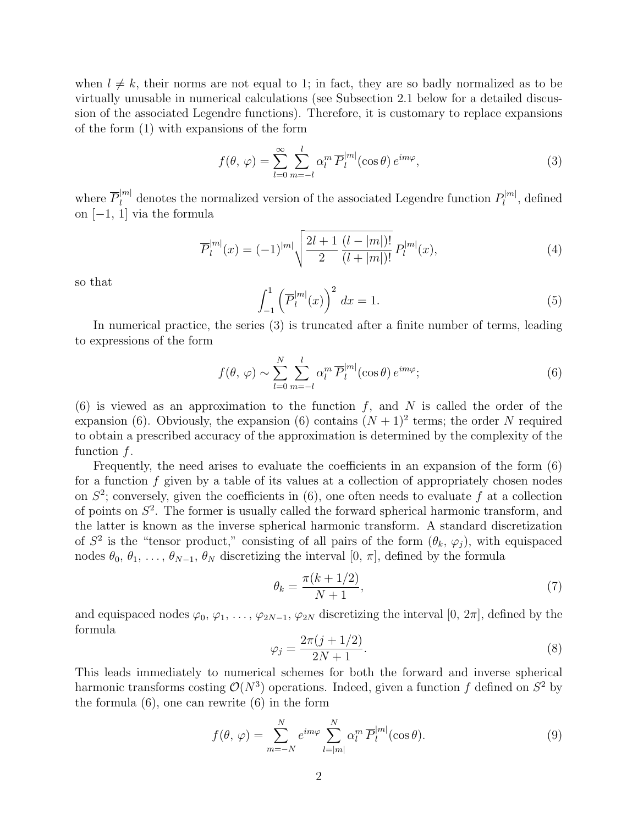when  $l \neq k$ , their norms are not equal to 1; in fact, they are so badly normalized as to be virtually unusable in numerical calculations (see Subsection 2.1 below for a detailed discussion of the associated Legendre functions). Therefore, it is customary to replace expansions of the form (1) with expansions of the form

$$
f(\theta, \varphi) = \sum_{l=0}^{\infty} \sum_{m=-l}^{l} \alpha_l^m \overline{P}_l^{|m|}(\cos \theta) e^{im\varphi}, \qquad (3)
$$

where  $\overline{P}_l^{|m|}$  denotes the normalized version of the associated Legendre function  $P_l^{|m|}$  $l^{|m|}$ , defined on [−1, 1] via the formula

$$
\overline{P}_{l}^{|m|}(x) = (-1)^{|m|} \sqrt{\frac{2l+1}{2} \frac{(l-|m|)!}{(l+|m|)!}} P_{l}^{|m|}(x), \tag{4}
$$

so that

$$
\int_{-1}^{1} \left( \overline{P}_l^{|m|}(x) \right)^2 dx = 1.
$$
 (5)

In numerical practice, the series (3) is truncated after a finite number of terms, leading to expressions of the form

$$
f(\theta, \varphi) \sim \sum_{l=0}^{N} \sum_{m=-l}^{l} \alpha_l^m \overline{P}_l^{|m|}(\cos \theta) e^{im\varphi};
$$
 (6)

(6) is viewed as an approximation to the function  $f$ , and  $N$  is called the order of the expansion (6). Obviously, the expansion (6) contains  $(N + 1)^2$  terms; the order N required to obtain a prescribed accuracy of the approximation is determined by the complexity of the function  $f$ .

Frequently, the need arises to evaluate the coefficients in an expansion of the form (6) for a function  $f$  given by a table of its values at a collection of appropriately chosen nodes on  $S^2$ ; conversely, given the coefficients in (6), one often needs to evaluate f at a collection of points on  $S<sup>2</sup>$ . The former is usually called the forward spherical harmonic transform, and the latter is known as the inverse spherical harmonic transform. A standard discretization of  $S^2$  is the "tensor product," consisting of all pairs of the form  $(\theta_k, \varphi_j)$ , with equispaced nodes  $\theta_0, \theta_1, \ldots, \theta_{N-1}, \theta_N$  discretizing the interval  $[0, \pi]$ , defined by the formula

$$
\theta_k = \frac{\pi (k+1/2)}{N+1},\tag{7}
$$

and equispaced nodes  $\varphi_0, \varphi_1, \ldots, \varphi_{2N-1}, \varphi_{2N}$  discretizing the interval [0,  $2\pi$ ], defined by the formula

$$
\varphi_j = \frac{2\pi(j+1/2)}{2N+1}.
$$
\n(8)

This leads immediately to numerical schemes for both the forward and inverse spherical harmonic transforms costing  $\mathcal{O}(N^3)$  operations. Indeed, given a function f defined on  $S^2$  by the formula (6), one can rewrite (6) in the form

$$
f(\theta, \varphi) = \sum_{m=-N}^{N} e^{im\varphi} \sum_{l=|m|}^{N} \alpha_l^m \overline{P}_l^{|m|}(\cos \theta).
$$
 (9)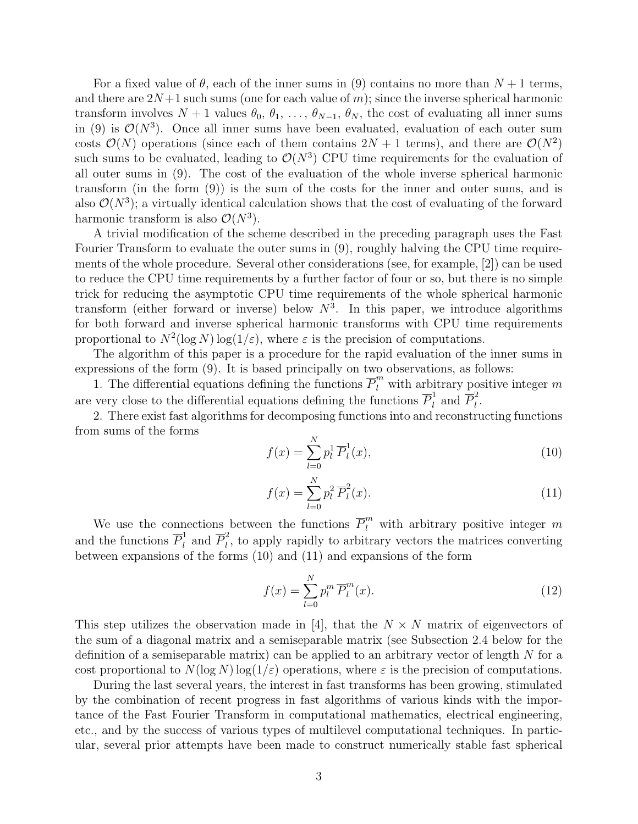For a fixed value of  $\theta$ , each of the inner sums in (9) contains no more than  $N+1$  terms, and there are  $2N+1$  such sums (one for each value of m); since the inverse spherical harmonic transform involves  $N + 1$  values  $\theta_0, \theta_1, \ldots, \theta_{N-1}, \theta_N$ , the cost of evaluating all inner sums in (9) is  $\mathcal{O}(N^3)$ . Once all inner sums have been evaluated, evaluation of each outer sum costs  $\mathcal{O}(N)$  operations (since each of them contains  $2N+1$  terms), and there are  $\mathcal{O}(N^2)$ such sums to be evaluated, leading to  $\mathcal{O}(N^3)$  CPU time requirements for the evaluation of all outer sums in (9). The cost of the evaluation of the whole inverse spherical harmonic transform (in the form (9)) is the sum of the costs for the inner and outer sums, and is also  $\mathcal{O}(N^3)$ ; a virtually identical calculation shows that the cost of evaluating of the forward harmonic transform is also  $\mathcal{O}(N^3)$ .

A trivial modification of the scheme described in the preceding paragraph uses the Fast Fourier Transform to evaluate the outer sums in (9), roughly halving the CPU time requirements of the whole procedure. Several other considerations (see, for example, [2]) can be used to reduce the CPU time requirements by a further factor of four or so, but there is no simple trick for reducing the asymptotic CPU time requirements of the whole spherical harmonic transform (either forward or inverse) below  $N^3$ . In this paper, we introduce algorithms for both forward and inverse spherical harmonic transforms with CPU time requirements proportional to  $N^2(\log N) \log(1/\varepsilon)$ , where  $\varepsilon$  is the precision of computations.

The algorithm of this paper is a procedure for the rapid evaluation of the inner sums in expressions of the form (9). It is based principally on two observations, as follows:

1. The differential equations defining the functions  $\overline{P}_l^m$  with arbitrary positive integer m are very close to the differential equations defining the functions  $\overline{P}_l^1$  $\overline{l}$  and  $\overline{P}_l^2$  $\frac{2}{l}$ .

2. There exist fast algorithms for decomposing functions into and reconstructing functions from sums of the forms

$$
f(x) = \sum_{l=0}^{N} p_l^1 \overline{P}_l^1(x),
$$
\n(10)

$$
f(x) = \sum_{l=0}^{N} p_l^2 \overline{P}_l^2(x).
$$
 (11)

We use the connections between the functions  $\overline{P}_l^m$  with arbitrary positive integer m and the functions  $\overline{P}_l^1$  $\overline{P}_l^1$  and  $\overline{P}_l^2$  $\mu_l^2$ , to apply rapidly to arbitrary vectors the matrices converting between expansions of the forms (10) and (11) and expansions of the form

$$
f(x) = \sum_{l=0}^{N} p_l^m \overline{P}_l^m(x).
$$
 (12)

This step utilizes the observation made in [4], that the  $N \times N$  matrix of eigenvectors of the sum of a diagonal matrix and a semiseparable matrix (see Subsection 2.4 below for the definition of a semiseparable matrix) can be applied to an arbitrary vector of length  $N$  for a cost proportional to  $N(\log N) \log(1/\varepsilon)$  operations, where  $\varepsilon$  is the precision of computations.

During the last several years, the interest in fast transforms has been growing, stimulated by the combination of recent progress in fast algorithms of various kinds with the importance of the Fast Fourier Transform in computational mathematics, electrical engineering, etc., and by the success of various types of multilevel computational techniques. In particular, several prior attempts have been made to construct numerically stable fast spherical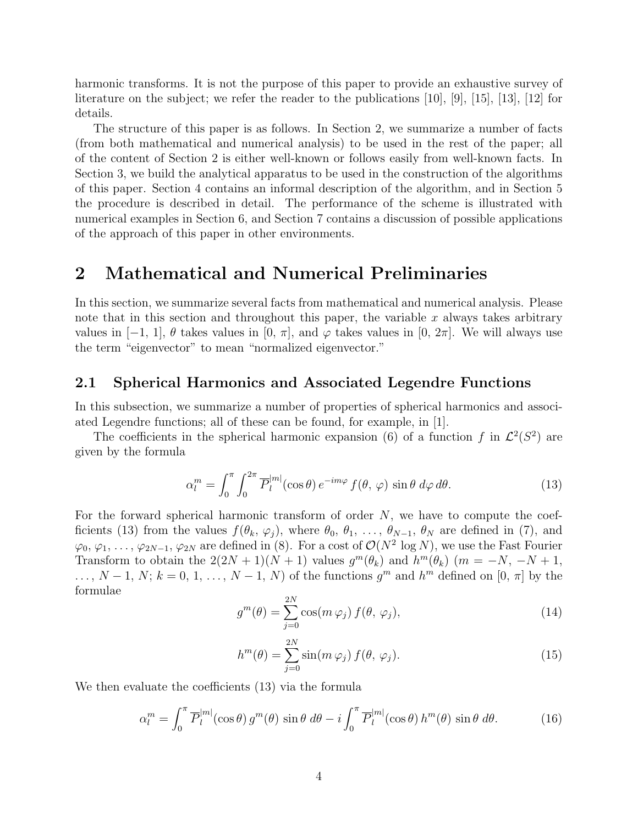harmonic transforms. It is not the purpose of this paper to provide an exhaustive survey of literature on the subject; we refer the reader to the publications [10], [9], [15], [13], [12] for details.

The structure of this paper is as follows. In Section 2, we summarize a number of facts (from both mathematical and numerical analysis) to be used in the rest of the paper; all of the content of Section 2 is either well-known or follows easily from well-known facts. In Section 3, we build the analytical apparatus to be used in the construction of the algorithms of this paper. Section 4 contains an informal description of the algorithm, and in Section 5 the procedure is described in detail. The performance of the scheme is illustrated with numerical examples in Section 6, and Section 7 contains a discussion of possible applications of the approach of this paper in other environments.

### 2 Mathematical and Numerical Preliminaries

In this section, we summarize several facts from mathematical and numerical analysis. Please note that in this section and throughout this paper, the variable x always takes arbitrary values in  $[-1, 1]$ ,  $\theta$  takes values in  $[0, \pi]$ , and  $\varphi$  takes values in  $[0, 2\pi]$ . We will always use the term "eigenvector" to mean "normalized eigenvector."

#### 2.1 Spherical Harmonics and Associated Legendre Functions

In this subsection, we summarize a number of properties of spherical harmonics and associated Legendre functions; all of these can be found, for example, in [1].

The coefficients in the spherical harmonic expansion (6) of a function f in  $\mathcal{L}^2(S^2)$  are given by the formula

$$
\alpha_l^m = \int_0^\pi \int_0^{2\pi} \overline{P}_l^{|m|}(\cos \theta) e^{-im\varphi} f(\theta, \varphi) \sin \theta \, d\varphi \, d\theta. \tag{13}
$$

For the forward spherical harmonic transform of order N, we have to compute the coefficients (13) from the values  $f(\theta_k, \varphi_j)$ , where  $\theta_0, \theta_1, \ldots, \theta_{N-1}, \theta_N$  are defined in (7), and  $\varphi_0, \varphi_1, \ldots, \varphi_{2N-1}, \varphi_{2N}$  are defined in (8). For a cost of  $\mathcal{O}(N^2 \log N)$ , we use the Fast Fourier Transform to obtain the  $2(2N+1)(N+1)$  values  $g^m(\theta_k)$  and  $h^m(\theta_k)$   $(m = -N, -N+1,$  $\ldots, N-1, N; k = 0, 1, \ldots, N-1, N$  of the functions  $g^m$  and  $h^m$  defined on  $[0, \pi]$  by the formulae

$$
g^{m}(\theta) = \sum_{j=0}^{2N} \cos(m \varphi_j) f(\theta, \varphi_j), \qquad (14)
$$

$$
h^{m}(\theta) = \sum_{j=0}^{2N} \sin(m \varphi_j) f(\theta, \varphi_j).
$$
 (15)

We then evaluate the coefficients (13) via the formula

$$
\alpha_l^m = \int_0^\pi \overline{P}_l^{|m|}(\cos \theta) g^m(\theta) \sin \theta \, d\theta - i \int_0^\pi \overline{P}_l^{|m|}(\cos \theta) h^m(\theta) \sin \theta \, d\theta. \tag{16}
$$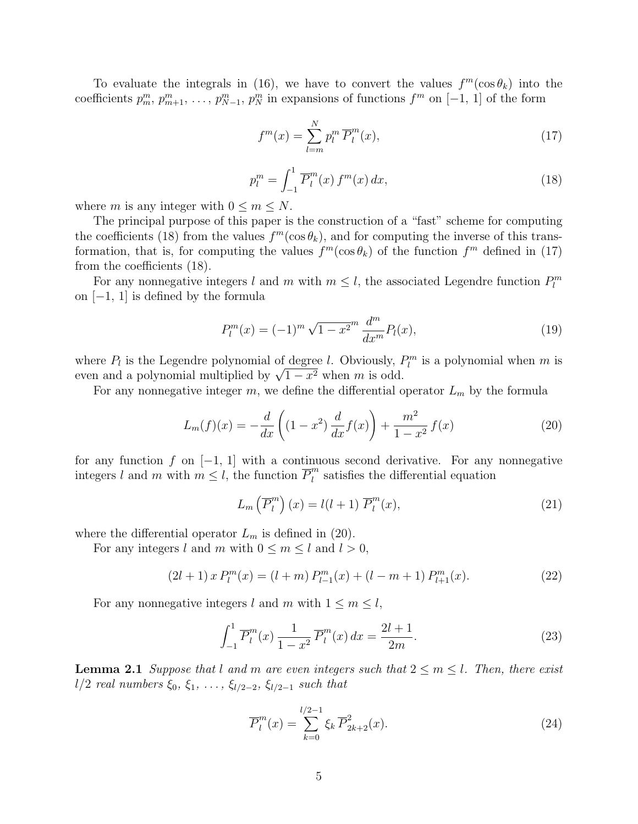To evaluate the integrals in (16), we have to convert the values  $f^m(\cos \theta_k)$  into the coefficients  $p_m^m, p_{m+1}^m, \ldots, p_{N-1}^m, p_N^m$  in expansions of functions  $f^m$  on  $[-1, 1]$  of the form

$$
f^m(x) = \sum_{l=m}^{N} p_l^m \overline{P}_l^m(x),\tag{17}
$$

$$
p_l^m = \int_{-1}^1 \overline{P}_l^m(x) f^m(x) dx,
$$
\n(18)

where m is any integer with  $0 \le m \le N$ .

The principal purpose of this paper is the construction of a "fast" scheme for computing the coefficients (18) from the values  $f^m(\cos \theta_k)$ , and for computing the inverse of this transformation, that is, for computing the values  $f^m(\cos \theta_k)$  of the function  $f^m$  defined in (17) from the coefficients (18).

For any nonnegative integers l and m with  $m \leq l$ , the associated Legendre function  $P_l^m$ on [−1, 1] is defined by the formula

$$
P_l^m(x) = (-1)^m \sqrt{1 - x^2}^m \frac{d^m}{dx^m} P_l(x), \qquad (19)
$$

where  $P_l$  is the Legendre polynomial of degree l. Obviously,  $P_l^m$  is a polynomial when m is where  $P_l$  is the Legendre polynomial of degree t. Obviously, the even and a polynomial multiplied by  $\sqrt{1-x^2}$  when m is odd.

For any nonnegative integer  $m$ , we define the differential operator  $L_m$  by the formula

$$
L_m(f)(x) = -\frac{d}{dx}\left((1-x^2)\frac{d}{dx}f(x)\right) + \frac{m^2}{1-x^2}f(x)
$$
 (20)

for any function f on  $[-1, 1]$  with a continuous second derivative. For any nonnegative integers l and m with  $m \leq l$ , the function  $\overline{P}_l^m$  $\binom{m}{l}$  satisfies the differential equation

$$
L_m\left(\overline{P}_l^m\right)(x) = l(l+1)\overline{P}_l^m(x),\tag{21}
$$

where the differential operator  $L_m$  is defined in (20).

For any integers l and m with  $0 \le m \le l$  and  $l > 0$ ,

$$
(2l+1) x P_l^m(x) = (l+m) P_{l-1}^m(x) + (l-m+1) P_{l+1}^m(x).
$$
 (22)

For any nonnegative integers l and m with  $1 \leq m \leq l$ ,

$$
\int_{-1}^{1} \overline{P}_{l}^{m}(x) \frac{1}{1 - x^{2}} \overline{P}_{l}^{m}(x) dx = \frac{2l + 1}{2m}.
$$
 (23)

**Lemma 2.1** Suppose that l and m are even integers such that  $2 \le m \le l$ . Then, there exist l/2 real numbers  $\xi_0, \xi_1, \ldots, \xi_{l/2-2}, \xi_{l/2-1}$  such that

$$
\overline{P}_l^m(x) = \sum_{k=0}^{l/2-1} \xi_k \, \overline{P}_{2k+2}^2(x). \tag{24}
$$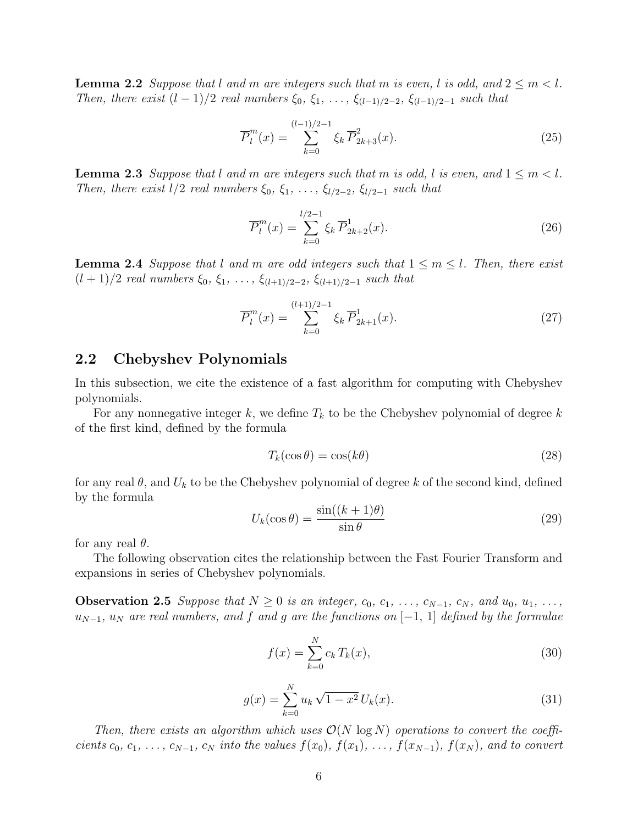**Lemma 2.2** Suppose that l and m are integers such that m is even, l is odd, and  $2 \le m < l$ . Then, there exist  $(l-1)/2$  real numbers  $\xi_0, \xi_1, \ldots, \xi_{(l-1)/2-2}, \xi_{(l-1)/2-1}$  such that

$$
\overline{P}_l^m(x) = \sum_{k=0}^{(l-1)/2-1} \xi_k \overline{P}_{2k+3}^2(x).
$$
 (25)

**Lemma 2.3** Suppose that l and m are integers such that m is odd, l is even, and  $1 \leq m < l$ . Then, there exist  $l/2$  real numbers  $\xi_0, \xi_1, \ldots, \xi_{l/2-2}, \xi_{l/2-1}$  such that

$$
\overline{P}_l^m(x) = \sum_{k=0}^{l/2-1} \xi_k \, \overline{P}_{2k+2}^1(x). \tag{26}
$$

**Lemma 2.4** Suppose that l and m are odd integers such that  $1 \le m \le l$ . Then, there exist  $(l+1)/2$  real numbers  $\xi_0, \xi_1, \ldots, \xi_{(l+1)/2-2}, \xi_{(l+1)/2-1}$  such that

$$
\overline{P}_l^m(x) = \sum_{k=0}^{(l+1)/2-1} \xi_k \overline{P}_{2k+1}^1(x). \tag{27}
$$

#### 2.2 Chebyshev Polynomials

In this subsection, we cite the existence of a fast algorithm for computing with Chebyshev polynomials.

For any nonnegative integer k, we define  $T_k$  to be the Chebyshev polynomial of degree k of the first kind, defined by the formula

$$
T_k(\cos \theta) = \cos(k\theta) \tag{28}
$$

for any real  $\theta$ , and  $U_k$  to be the Chebyshev polynomial of degree k of the second kind, defined by the formula

$$
U_k(\cos \theta) = \frac{\sin((k+1)\theta)}{\sin \theta} \tag{29}
$$

for any real  $\theta$ .

The following observation cites the relationship between the Fast Fourier Transform and expansions in series of Chebyshev polynomials.

**Observation 2.5** Suppose that  $N \geq 0$  is an integer,  $c_0, c_1, \ldots, c_{N-1}, c_N$ , and  $u_0, u_1, \ldots,$  $u_{N-1}$ ,  $u_N$  are real numbers, and f and g are the functions on  $[-1, 1]$  defined by the formulae

$$
f(x) = \sum_{k=0}^{N} c_k T_k(x),
$$
\n(30)

$$
g(x) = \sum_{k=0}^{N} u_k \sqrt{1 - x^2} U_k(x).
$$
 (31)

Then, there exists an algorithm which uses  $\mathcal{O}(N \log N)$  operations to convert the coefficients  $c_0, c_1, \ldots, c_{N-1}, c_N$  into the values  $f(x_0), f(x_1), \ldots, f(x_{N-1}), f(x_N)$ , and to convert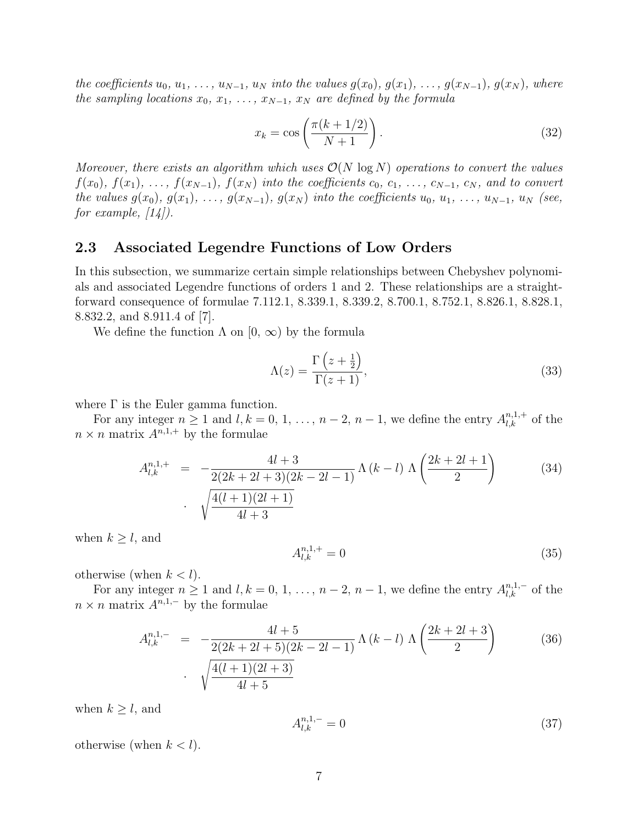the coefficients  $u_0, u_1, \ldots, u_{N-1}, u_N$  into the values  $g(x_0), g(x_1), \ldots, g(x_{N-1}), g(x_N)$ , where the sampling locations  $x_0, x_1, \ldots, x_{N-1}, x_N$  are defined by the formula

$$
x_k = \cos\left(\frac{\pi(k+1/2)}{N+1}\right). \tag{32}
$$

Moreover, there exists an algorithm which uses  $\mathcal{O}(N \log N)$  operations to convert the values  $f(x_0), f(x_1), \ldots, f(x_{N-1}), f(x_N)$  into the coefficients  $c_0, c_1, \ldots, c_{N-1}, c_N$ , and to convert the values  $g(x_0), g(x_1), \ldots, g(x_{N-1}), g(x_N)$  into the coefficients  $u_0, u_1, \ldots, u_{N-1}, u_N$  (see, for example,  $[14]$ .

#### 2.3 Associated Legendre Functions of Low Orders

In this subsection, we summarize certain simple relationships between Chebyshev polynomials and associated Legendre functions of orders 1 and 2. These relationships are a straightforward consequence of formulae 7.112.1, 8.339.1, 8.339.2, 8.700.1, 8.752.1, 8.826.1, 8.828.1, 8.832.2, and 8.911.4 of [7].

We define the function  $\Lambda$  on  $[0, \infty)$  by the formula

$$
\Lambda(z) = \frac{\Gamma\left(z + \frac{1}{2}\right)}{\Gamma(z+1)},\tag{33}
$$

where  $\Gamma$  is the Euler gamma function.

For any integer  $n \geq 1$  and  $l, k = 0, 1, ..., n-2, n-1$ , we define the entry  $A_{l,k}^{n,1,+}$  of the  $n \times n$  matrix  $A^{n,1,+}$  by the formulae

$$
A_{l,k}^{n,1,+} = -\frac{4l+3}{2(2k+2l+3)(2k-2l-1)} \Lambda (k-l) \Lambda \left(\frac{2k+2l+1}{2}\right)
$$
(34)  
. 
$$
\sqrt{\frac{4(l+1)(2l+1)}{4l+3}}
$$

when  $k \geq l$ , and

$$
A_{l,k}^{n,1,+} = 0 \tag{35}
$$

otherwise (when  $k < l$ ).

For any integer  $n \geq 1$  and  $l, k = 0, 1, \ldots, n-2, n-1$ , we define the entry  $A_{l,k}^{n,1,-}$  of the  $n \times n$  matrix  $A^{n,1,-}$  by the formulae

$$
A_{l,k}^{n,1,-} = -\frac{4l+5}{2(2k+2l+5)(2k-2l-1)} \Lambda (k-l) \Lambda \left(\frac{2k+2l+3}{2}\right)
$$
 (36)  
 
$$
\sqrt{\frac{4(l+1)(2l+3)}{4l+5}}
$$

when  $k \geq l$ , and

$$
A_{l,k}^{n,1,-} = 0 \tag{37}
$$

otherwise (when  $k < l$ ).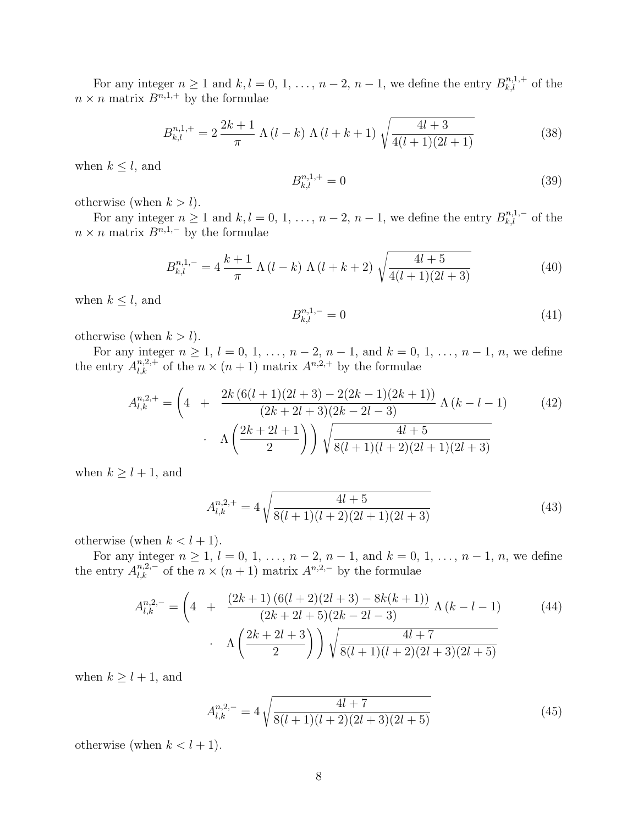For any integer  $n \geq 1$  and  $k, l = 0, 1, ..., n-2, n-1$ , we define the entry  $B_{k,l}^{n,1,+}$  of the  $n \times n$  matrix  $B^{n,1,+}$  by the formulae

$$
B_{k,l}^{n,1,+} = 2\frac{2k+1}{\pi} \Lambda (l-k) \Lambda (l+k+1) \sqrt{\frac{4l+3}{4(l+1)(2l+1)}} \tag{38}
$$

when  $k \leq l$ , and

$$
B_{k,l}^{n,1,+} = 0 \tag{39}
$$

otherwise (when  $k > l$ ).

For any integer  $n \geq 1$  and  $k, l = 0, 1, ..., n-2, n-1$ , we define the entry  $B_{k,l}^{n,1,-}$  of the  $n \times n$  matrix  $B^{n,1,-}$  by the formulae

$$
B_{k,l}^{n,1,-} = 4 \frac{k+1}{\pi} \Lambda (l-k) \Lambda (l+k+2) \sqrt{\frac{4l+5}{4(l+1)(2l+3)}} \tag{40}
$$

when  $k \leq l$ , and

$$
B_{k,l}^{n,1,-} = 0 \tag{41}
$$

otherwise (when  $k > l$ ).

For any integer  $n \ge 1$ ,  $l = 0, 1, ..., n-2, n-1$ , and  $k = 0, 1, ..., n-1, n$ , we define the entry  $A_{l,k}^{n,2,+}$  of the  $n \times (n+1)$  matrix  $A^{n,2,+}$  by the formulae

$$
A_{l,k}^{n,2,+} = \left(4 \quad + \quad \frac{2k \left(6(l+1)(2l+3) - 2(2k-1)(2k+1)\right)}{(2k+2l+3)(2k-2l-3)} \Lambda\left(k-l-1\right) \right) \left(42\right) \cdot \quad \Lambda\left(\frac{2k+2l+1}{2}\right) \bigg) \sqrt{\frac{4l+5}{8(l+1)(l+2)(2l+1)(2l+3)}} \tag{42}
$$

when  $k \geq l + 1$ , and

$$
A_{l,k}^{n,2,+} = 4\sqrt{\frac{4l+5}{8(l+1)(l+2)(2l+1)(2l+3)}}\tag{43}
$$

otherwise (when  $k < l + 1$ ).

For any integer  $n \ge 1$ ,  $l = 0, 1, ..., n-2, n-1$ , and  $k = 0, 1, ..., n-1, n$ , we define the entry  $A_{l,k}^{n,2,-}$  of the  $n \times (n+1)$  matrix  $A^{n,2,-}$  by the formulae

$$
A_{l,k}^{n,2,-} = \left(4 \quad + \quad \frac{(2k+1)\left(6(l+2)(2l+3) - 8k(k+1)\right)}{(2k+2l+5)(2k-2l-3)} \Lambda\left(k-l-1\right) \right) \times \Lambda\left(\frac{2k+2l+3}{2}\right) \sqrt{\frac{4l+7}{8(l+1)(l+2)(2l+3)(2l+5)}} \tag{44}
$$

when  $k \geq l + 1$ , and

$$
A_{l,k}^{n,2,-} = 4\sqrt{\frac{4l+7}{8(l+1)(l+2)(2l+3)(2l+5)}}\tag{45}
$$

otherwise (when  $k < l + 1$ ).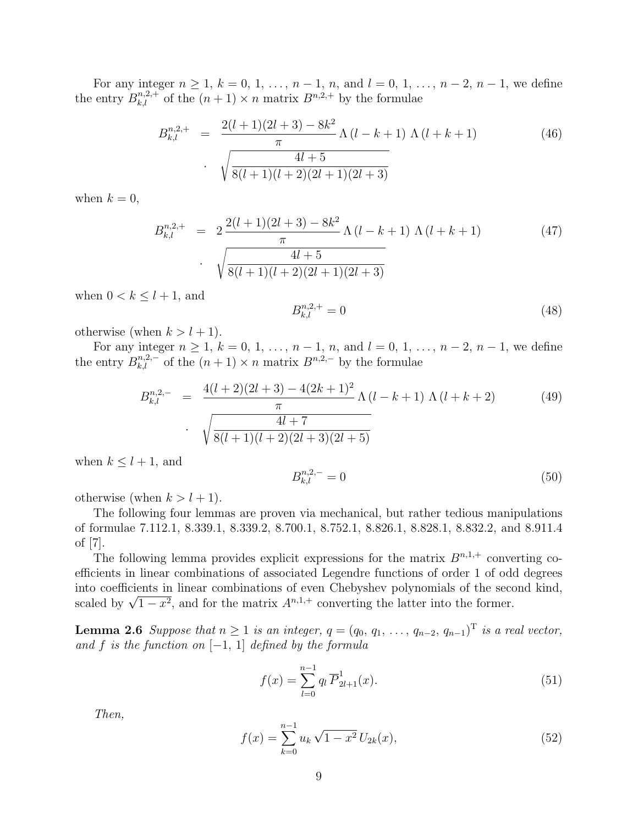For any integer  $n \ge 1$ ,  $k = 0, 1, ..., n - 1, n$ , and  $l = 0, 1, ..., n - 2, n - 1$ , we define the entry  $B_{k,l}^{n,2,+}$  of the  $(n+1) \times n$  matrix  $B^{n,2,+}$  by the formulae

$$
B_{k,l}^{n,2,+} = \frac{2(l+1)(2l+3) - 8k^2}{\pi} \Lambda(l-k+1) \Lambda(l+k+1)
$$
\n
$$
\cdot \sqrt{\frac{4l+5}{8(l+1)(l+2)(2l+1)(2l+3)}}
$$
\n(46)

when  $k = 0$ ,

$$
B_{k,l}^{n,2,+} = 2 \frac{2(l+1)(2l+3) - 8k^2}{\pi} \Lambda(l-k+1) \Lambda(l+k+1)
$$
\n
$$
\sqrt{\frac{4l+5}{8(l+1)(l+2)(2l+1)(2l+3)}}
$$
\n(47)

when  $0 < k \leq l + 1$ , and

$$
B_{k,l}^{n,2,+} = 0 \tag{48}
$$

otherwise (when  $k > l + 1$ ).

For any integer  $n \ge 1$ ,  $k = 0, 1, ..., n - 1, n$ , and  $l = 0, 1, ..., n - 2, n - 1$ , we define the entry  $B_{k,l}^{n,2,-}$  of the  $(n + 1) \times n$  matrix  $B^{n,2,-}$  by the formulae

$$
B_{k,l}^{n,2,-} = \frac{4(l+2)(2l+3) - 4(2k+1)^2}{\pi} \Lambda(l-k+1) \Lambda(l+k+2)
$$
 (49)  
 
$$
\sqrt{\frac{4l+7}{8(l+1)(l+2)(2l+3)(2l+5)}}
$$

when  $k \leq l + 1$ , and

$$
B_{k,l}^{n,2,-} = 0 \tag{50}
$$

otherwise (when  $k > l + 1$ ).

The following four lemmas are proven via mechanical, but rather tedious manipulations of formulae 7.112.1, 8.339.1, 8.339.2, 8.700.1, 8.752.1, 8.826.1, 8.828.1, 8.832.2, and 8.911.4 of [7].

The following lemma provides explicit expressions for the matrix  $B^{n,1,+}$  converting coefficients in linear combinations of associated Legendre functions of order 1 of odd degrees into coefficients in linear combinations of even Chebyshev polynomials of the second kind, nto coemcients in linear combinations of even Chebyshev polynomials of the secondical by  $\sqrt{1-x^2}$ , and for the matrix  $A^{n,1,+}$  converting the latter into the former.

**Lemma 2.6** Suppose that  $n \geq 1$  is an integer,  $q = (q_0, q_1, \ldots, q_{n-2}, q_{n-1})^T$  is a real vector, and f is the function on  $[-1, 1]$  defined by the formula

$$
f(x) = \sum_{l=0}^{n-1} q_l \overline{P}_{2l+1}^1(x).
$$
 (51)

Then,

$$
f(x) = \sum_{k=0}^{n-1} u_k \sqrt{1 - x^2} U_{2k}(x),
$$
\n(52)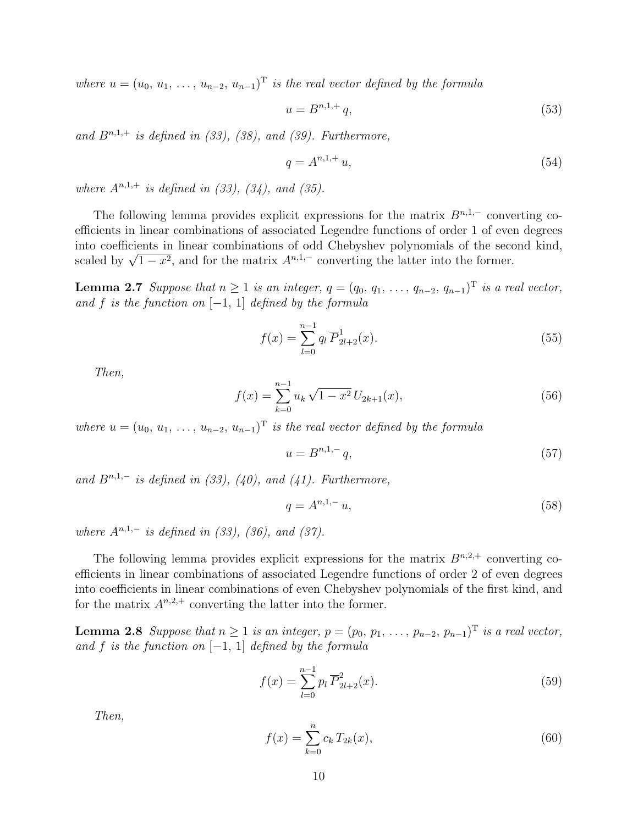where  $u = (u_0, u_1, \ldots, u_{n-2}, u_{n-1})^T$  is the real vector defined by the formula

$$
u = B^{n,1,+}q,
$$
\n(53)

and  $B^{n,1,+}$  is defined in (33), (38), and (39). Furthermore,

$$
q = A^{n,1,+}u,\tag{54}
$$

where  $A^{n,1,+}$  is defined in (33), (34), and (35).

The following lemma provides explicit expressions for the matrix  $B^{n,1,-}$  converting coefficients in linear combinations of associated Legendre functions of order 1 of even degrees into coefficients in linear combinations of odd Chebyshev polynomials of the second kind, nto coemcients in linear combinations of odd Chebyshev polynomials of the seconder scaled by  $\sqrt{1-x^2}$ , and for the matrix  $A^{n,1,-}$  converting the latter into the former.

**Lemma 2.7** Suppose that  $n \geq 1$  is an integer,  $q = (q_0, q_1, \ldots, q_{n-2}, q_{n-1})^T$  is a real vector, and f is the function on  $[-1, 1]$  defined by the formula

$$
f(x) = \sum_{l=0}^{n-1} q_l \overline{P}_{2l+2}^1(x).
$$
 (55)

Then,

$$
f(x) = \sum_{k=0}^{n-1} u_k \sqrt{1 - x^2} U_{2k+1}(x),
$$
\n(56)

where  $u = (u_0, u_1, \ldots, u_{n-2}, u_{n-1})^T$  is the real vector defined by the formula

$$
u = B^{n,1,-}q,
$$
\n(57)

and  $B^{n,1,-}$  is defined in (33), (40), and (41). Furthermore,

$$
q = A^{n,1,-} u,\t\t(58)
$$

where  $A^{n,1,-}$  is defined in (33), (36), and (37).

The following lemma provides explicit expressions for the matrix  $B^{n,2,+}$  converting coefficients in linear combinations of associated Legendre functions of order 2 of even degrees into coefficients in linear combinations of even Chebyshev polynomials of the first kind, and for the matrix  $A^{n,2,+}$  converting the latter into the former.

**Lemma 2.8** Suppose that  $n \geq 1$  is an integer,  $p = (p_0, p_1, \ldots, p_{n-2}, p_{n-1})^T$  is a real vector, and f is the function on  $[-1, 1]$  defined by the formula

$$
f(x) = \sum_{l=0}^{n-1} p_l \overline{P}_{2l+2}^2(x).
$$
 (59)

Then,

$$
f(x) = \sum_{k=0}^{n} c_k T_{2k}(x),
$$
\n(60)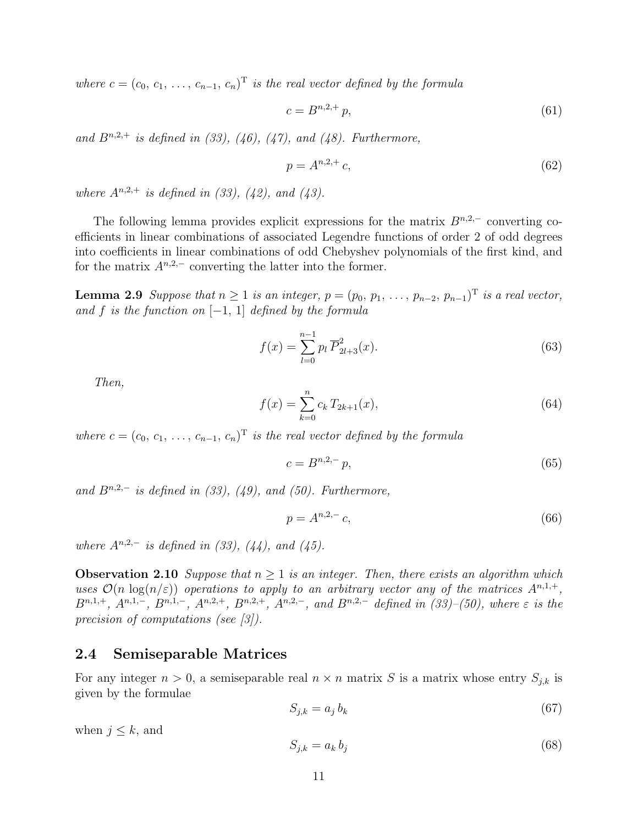where  $c = (c_0, c_1, \ldots, c_{n-1}, c_n)^T$  is the real vector defined by the formula

$$
c = B^{n,2,+} p,\t\t(61)
$$

and  $B^{n,2,+}$  is defined in (33), (46), (47), and (48). Furthermore,

$$
p = A^{n,2,+} c,\tag{62}
$$

where  $A^{n,2,+}$  is defined in (33), (42), and (43).

The following lemma provides explicit expressions for the matrix  $B^{n,2,-}$  converting coefficients in linear combinations of associated Legendre functions of order 2 of odd degrees into coefficients in linear combinations of odd Chebyshev polynomials of the first kind, and for the matrix  $A^{n,2,-}$  converting the latter into the former.

**Lemma 2.9** Suppose that  $n \geq 1$  is an integer,  $p = (p_0, p_1, \ldots, p_{n-2}, p_{n-1})^T$  is a real vector, and f is the function on  $[-1, 1]$  defined by the formula

$$
f(x) = \sum_{l=0}^{n-1} p_l \overline{P}_{2l+3}^2(x).
$$
 (63)

Then,

$$
f(x) = \sum_{k=0}^{n} c_k T_{2k+1}(x),
$$
\n(64)

where  $c = (c_0, c_1, \ldots, c_{n-1}, c_n)^T$  is the real vector defined by the formula

$$
c = B^{n,2,-} p,\tag{65}
$$

and  $B^{n,2,-}$  is defined in (33), (49), and (50). Furthermore,

$$
p = A^{n,2,-} c,\t(66)
$$

where  $A^{n,2,-}$  is defined in (33), (44), and (45).

**Observation 2.10** Suppose that  $n \geq 1$  is an integer. Then, there exists an algorithm which uses  $\mathcal{O}(n \log(n/\varepsilon))$  operations to apply to an arbitrary vector any of the matrices  $A^{n,1,+}$ ,  $B^{n,1,+}, A^{n,1,-}, B^{n,1,-}, A^{n,2,+}, B^{n,2,+}, A^{n,2,-}, and B^{n,2,-} defined in (33)–(50), where \varepsilon is the$ precision of computations (see [3]).

#### 2.4 Semiseparable Matrices

For any integer  $n > 0$ , a semiseparable real  $n \times n$  matrix S is a matrix whose entry  $S_{i,k}$  is given by the formulae

$$
S_{j,k} = a_j b_k \tag{67}
$$

when  $j \leq k$ , and

$$
S_{j,k} = a_k b_j \tag{68}
$$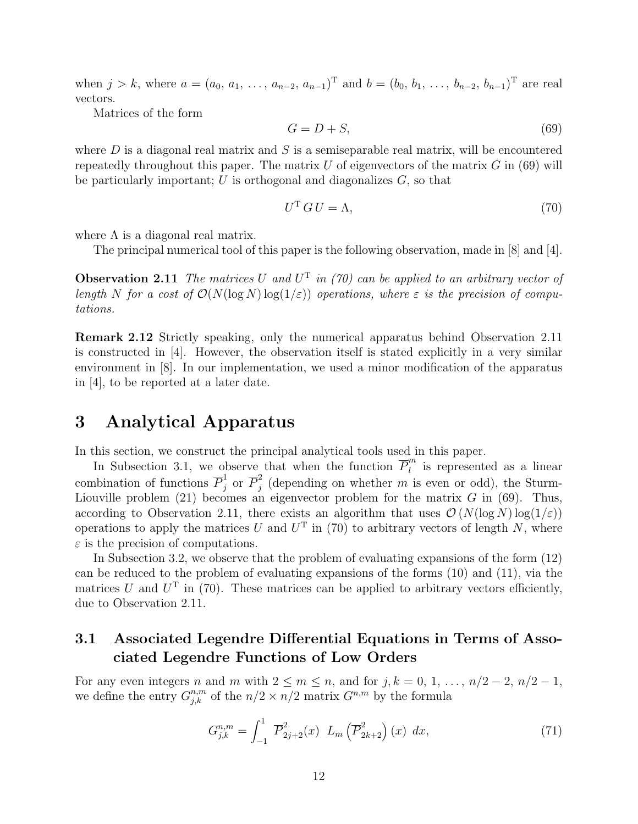when  $j > k$ , where  $a = (a_0, a_1, \ldots, a_{n-2}, a_{n-1})^T$  and  $b = (b_0, b_1, \ldots, b_{n-2}, b_{n-1})^T$  are real vectors.

Matrices of the form

$$
G = D + S,\tag{69}
$$

where  $D$  is a diagonal real matrix and  $S$  is a semiseparable real matrix, will be encountered repeatedly throughout this paper. The matrix  $U$  of eigenvectors of the matrix  $G$  in (69) will be particularly important;  $U$  is orthogonal and diagonalizes  $G$ , so that

$$
U^{\mathrm{T}}\,G\,U=\Lambda,\tag{70}
$$

where  $\Lambda$  is a diagonal real matrix.

The principal numerical tool of this paper is the following observation, made in [8] and [4].

**Observation 2.11** The matrices U and  $U^T$  in (70) can be applied to an arbitrary vector of length N for a cost of  $\mathcal{O}(N(\log N) \log(1/\varepsilon))$  operations, where  $\varepsilon$  is the precision of computations.

Remark 2.12 Strictly speaking, only the numerical apparatus behind Observation 2.11 is constructed in [4]. However, the observation itself is stated explicitly in a very similar environment in [8]. In our implementation, we used a minor modification of the apparatus in [4], to be reported at a later date.

### 3 Analytical Apparatus

In this section, we construct the principal analytical tools used in this paper.

In Subsection 3.1, we observe that when the function  $\overline{P}_l^m$  $\binom{n}{l}$  is represented as a linear combination of functions  $\overline{P}_i^1$  $\frac{1}{j}$  or  $\overline{P}_j^2$  $j$  (depending on whether m is even or odd), the Sturm-Liouville problem  $(21)$  becomes an eigenvector problem for the matrix G in  $(69)$ . Thus, according to Observation 2.11, there exists an algorithm that uses  $\mathcal{O}(N(\log N) \log(1/\varepsilon))$ operations to apply the matrices U and  $U<sup>T</sup>$  in (70) to arbitrary vectors of length N, where  $\varepsilon$  is the precision of computations.

In Subsection 3.2, we observe that the problem of evaluating expansions of the form (12) can be reduced to the problem of evaluating expansions of the forms (10) and (11), via the matrices U and  $U^{\mathrm{T}}$  in (70). These matrices can be applied to arbitrary vectors efficiently, due to Observation 2.11.

### 3.1 Associated Legendre Differential Equations in Terms of Associated Legendre Functions of Low Orders

For any even integers n and m with  $2 \le m \le n$ , and for j,  $k = 0, 1, \ldots, n/2 - 2, n/2 - 1$ , we define the entry  $G_{j,k}^{n,m}$  of the  $n/2 \times n/2$  matrix  $G^{n,m}$  by the formula

$$
G_{j,k}^{n,m} = \int_{-1}^{1} \overline{P}_{2j+2}^{2}(x) L_m\left(\overline{P}_{2k+2}^{2}\right)(x) dx,
$$
\n(71)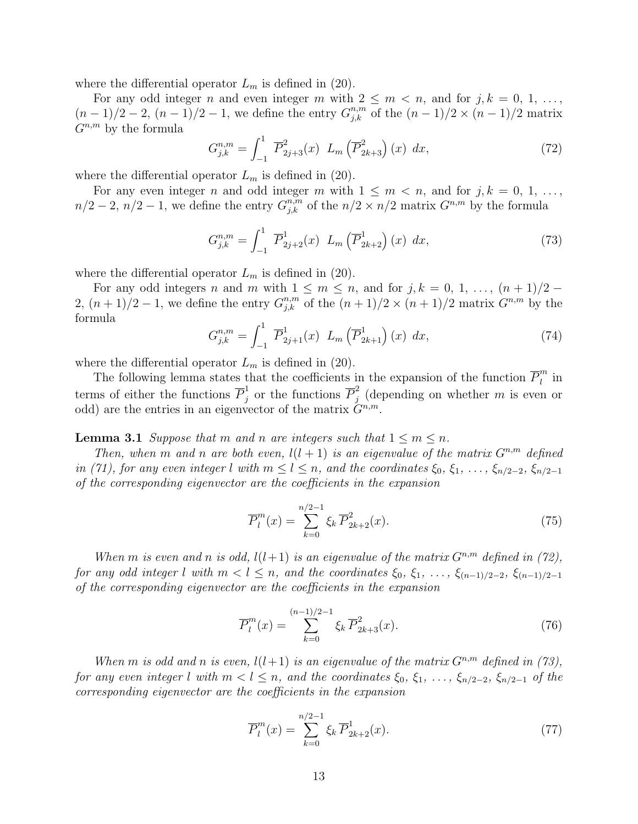where the differential operator  $L_m$  is defined in (20).

For any odd integer n and even integer m with  $2 \leq m \leq n$ , and for  $j, k = 0, 1, \ldots$ ,  $(n-1)/2-2$ ,  $(n-1)/2-1$ , we define the entry  $G_{j,k}^{n,m}$  of the  $(n-1)/2 \times (n-1)/2$  matrix  $G^{n,m}$  by the formula

$$
G_{j,k}^{n,m} = \int_{-1}^{1} \overline{P}_{2j+3}^{2}(x) L_m\left(\overline{P}_{2k+3}^{2}\right)(x) dx,
$$
 (72)

where the differential operator  $L_m$  is defined in (20).

For any even integer n and odd integer m with  $1 \leq m \leq n$ , and for  $j, k = 0, 1, \ldots$ ,  $n/2-2$ ,  $n/2-1$ , we define the entry  $G_{j,k}^{n,m}$  of the  $n/2 \times n/2$  matrix  $G^{n,m}$  by the formula

$$
G_{j,k}^{n,m} = \int_{-1}^{1} \overline{P}_{2j+2}^{1}(x) L_m\left(\overline{P}_{2k+2}^{1}\right)(x) dx,
$$
 (73)

where the differential operator  $L_m$  is defined in (20).

For any odd integers n and m with  $1 \leq m \leq n$ , and for  $j, k = 0, 1, \ldots, (n + 1)/2$ 2,  $(n+1)/2-1$ , we define the entry  $G_{j,k}^{n,m}$  of the  $(n+1)/2 \times (n+1)/2$  matrix  $G^{n,m}$  by the formula

$$
G_{j,k}^{n,m} = \int_{-1}^{1} \overline{P}_{2j+1}^{1}(x) L_m\left(\overline{P}_{2k+1}^{1}\right)(x) dx, \qquad (74)
$$

where the differential operator  $L_m$  is defined in (20).

The following lemma states that the coefficients in the expansion of the function  $\overline{P}_l^m$  $\prod_{l}^{m}$  in terms of either the functions  $\overline{P}_i^1$  $j \atop j$  or the functions  $\overline{P}_j^2$  $j$  (depending on whether m is even or odd) are the entries in an eigenvector of the matrix  $G^{n,m}$ .

**Lemma 3.1** Suppose that m and n are integers such that  $1 \le m \le n$ .

Then, when m and n are both even,  $l(l + 1)$  is an eigenvalue of the matrix  $G^{n,m}$  defined in (71), for any even integer l with  $m \leq l \leq n$ , and the coordinates  $\xi_0, \xi_1, \ldots, \xi_{n/2-2}, \xi_{n/2-1}$ of the corresponding eigenvector are the coefficients in the expansion

$$
\overline{P}_l^m(x) = \sum_{k=0}^{n/2-1} \xi_k \, \overline{P}_{2k+2}^2(x). \tag{75}
$$

When m is even and n is odd,  $l(l+1)$  is an eigenvalue of the matrix  $G^{n,m}$  defined in (72), for any odd integer l with  $m < l \leq n$ , and the coordinates  $\xi_0, \xi_1, \ldots, \xi_{(n-1)/2-2}, \xi_{(n-1)/2-1}$ of the corresponding eigenvector are the coefficients in the expansion

$$
\overline{P}_l^m(x) = \sum_{k=0}^{(n-1)/2-1} \xi_k \overline{P}_{2k+3}^2(x). \tag{76}
$$

When m is odd and n is even,  $l(l+1)$  is an eigenvalue of the matrix  $G^{n,m}$  defined in (73), for any even integer l with  $m < l \leq n$ , and the coordinates  $\xi_0, \xi_1, \ldots, \xi_{n/2-2}, \xi_{n/2-1}$  of the corresponding eigenvector are the coefficients in the expansion

$$
\overline{P}_l^m(x) = \sum_{k=0}^{n/2-1} \xi_k \, \overline{P}_{2k+2}^1(x). \tag{77}
$$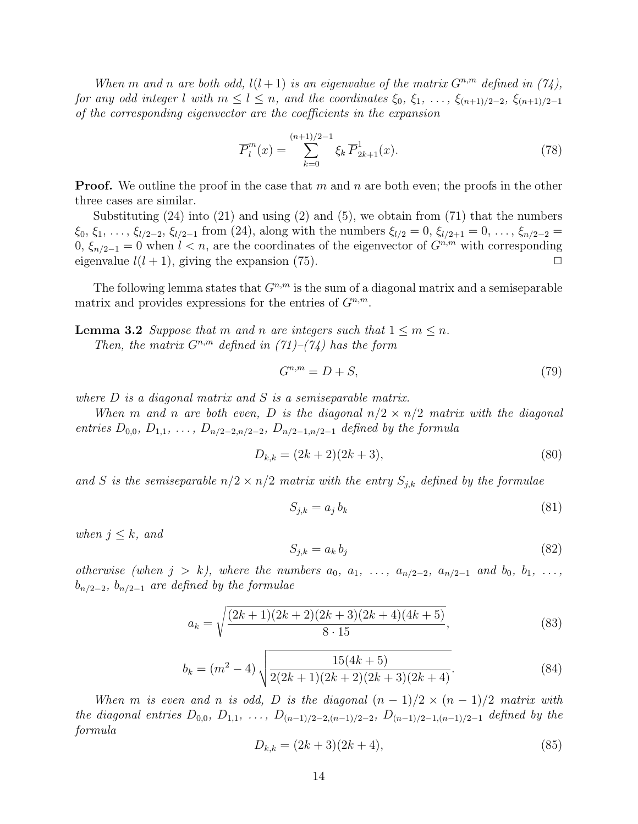When m and n are both odd,  $l(l + 1)$  is an eigenvalue of the matrix  $G^{n,m}$  defined in (74), for any odd integer l with  $m \leq l \leq n$ , and the coordinates  $\xi_0, \xi_1, \ldots, \xi_{(n+1)/2-2}, \xi_{(n+1)/2-1}$ of the corresponding eigenvector are the coefficients in the expansion

$$
\overline{P}_l^m(x) = \sum_{k=0}^{(n+1)/2-1} \xi_k \overline{P}_{2k+1}^1(x). \tag{78}
$$

**Proof.** We outline the proof in the case that m and n are both even; the proofs in the other three cases are similar.

Substituting (24) into (21) and using (2) and (5), we obtain from (71) that the numbers  $\xi_0, \xi_1, \ldots, \xi_{l/2-2}, \xi_{l/2-1}$  from (24), along with the numbers  $\xi_{l/2} = 0, \xi_{l/2+1} = 0, \ldots, \xi_{n/2-2} =$ 0,  $\xi_{n/2-1} = 0$  when  $l < n$ , are the coordinates of the eigenvector of  $G^{n,m}$  with corresponding eigenvalue  $l(l + 1)$ , giving the expansion (75).

The following lemma states that  $G^{n,m}$  is the sum of a diagonal matrix and a semiseparable matrix and provides expressions for the entries of  $G^{n,m}$ .

**Lemma 3.2** Suppose that m and n are integers such that  $1 \le m \le n$ . Then, the matrix  $G^{n,m}$  defined in  $(71)-(74)$  has the form

$$
G^{n,m} = D + S,\t\t(79)
$$

where  $D$  is a diagonal matrix and  $S$  is a semiseparable matrix.

When m and n are both even, D is the diagonal  $n/2 \times n/2$  matrix with the diagonal entries  $D_{0,0}, D_{1,1}, \ldots, D_{n/2-2,n/2-2}, D_{n/2-1,n/2-1}$  defined by the formula

$$
D_{k,k} = (2k+2)(2k+3),\tag{80}
$$

and S is the semiseparable  $n/2 \times n/2$  matrix with the entry  $S_{j,k}$  defined by the formulae

$$
S_{j,k} = a_j b_k \tag{81}
$$

when  $j \leq k$ , and

$$
S_{j,k} = a_k b_j \tag{82}
$$

otherwise (when  $j > k$ ), where the numbers  $a_0, a_1, \ldots, a_{n/2-2}, a_{n/2-1}$  and  $b_0, b_1, \ldots,$  $b_{n/2-2}$ ,  $b_{n/2-1}$  are defined by the formulae

$$
a_k = \sqrt{\frac{(2k+1)(2k+2)(2k+3)(2k+4)(4k+5)}{8 \cdot 15}},
$$
\n(83)

$$
b_k = (m^2 - 4) \sqrt{\frac{15(4k+5)}{2(2k+1)(2k+2)(2k+3)(2k+4)}}.
$$
\n(84)

When m is even and n is odd, D is the diagonal  $(n-1)/2 \times (n-1)/2$  matrix with the diagonal entries  $D_{0,0}$ ,  $D_{1,1}$ , ...,  $D_{(n-1)/2-2,(n-1)/2-2}$ ,  $D_{(n-1)/2-1,(n-1)/2-1}$  defined by the formula

$$
D_{k,k} = (2k+3)(2k+4),\tag{85}
$$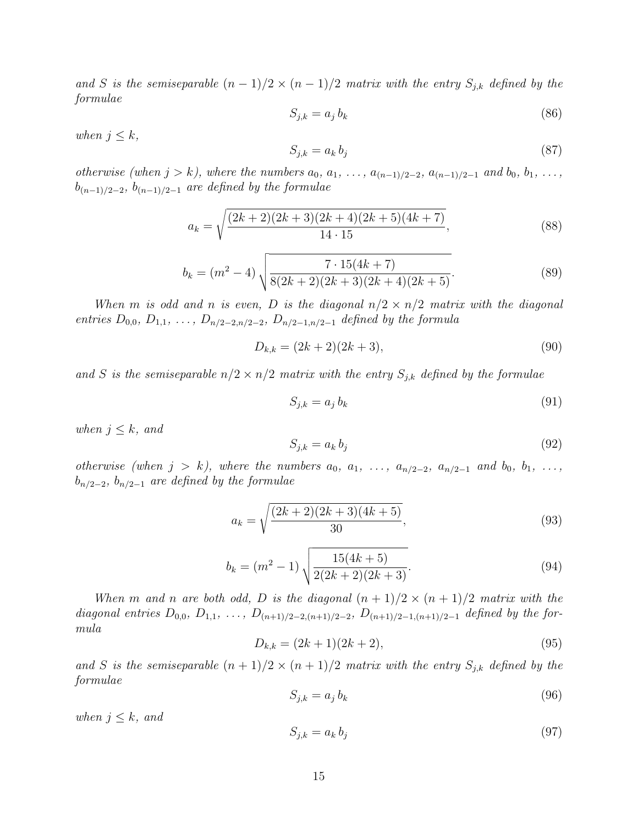and S is the semiseparable  $(n-1)/2 \times (n-1)/2$  matrix with the entry  $S_{j,k}$  defined by the formulae

$$
S_{j,k} = a_j b_k \tag{86}
$$

when  $j \leq k$ ,

$$
S_{j,k} = a_k b_j \tag{87}
$$

otherwise (when  $j > k$ ), where the numbers  $a_0, a_1, \ldots, a_{(n-1)/2-2}, a_{(n-1)/2-1}$  and  $b_0, b_1, \ldots,$  $b_{(n-1)/2-2}, b_{(n-1)/2-1}$  are defined by the formulae

$$
a_k = \sqrt{\frac{(2k+2)(2k+3)(2k+4)(2k+5)(4k+7)}{14 \cdot 15}},
$$
\n(88)

$$
b_k = (m^2 - 4) \sqrt{\frac{7 \cdot 15(4k + 7)}{8(2k + 2)(2k + 3)(2k + 4)(2k + 5)}}.
$$
\n(89)

When m is odd and n is even, D is the diagonal  $n/2 \times n/2$  matrix with the diagonal entries  $D_{0,0}, D_{1,1}, \ldots, D_{n/2-2,n/2-2}, D_{n/2-1,n/2-1}$  defined by the formula

$$
D_{k,k} = (2k+2)(2k+3),\tag{90}
$$

and S is the semiseparable  $n/2 \times n/2$  matrix with the entry  $S_{j,k}$  defined by the formulae

$$
S_{j,k} = a_j b_k \tag{91}
$$

when  $j \leq k$ , and

$$
S_{j,k} = a_k b_j \tag{92}
$$

otherwise (when  $j > k$ ), where the numbers  $a_0, a_1, \ldots, a_{n/2-2}, a_{n/2-1}$  and  $b_0, b_1, \ldots,$  $b_{n/2-2}, b_{n/2-1}$  are defined by the formulae

$$
a_k = \sqrt{\frac{(2k+2)(2k+3)(4k+5)}{30}},\tag{93}
$$

$$
b_k = (m^2 - 1) \sqrt{\frac{15(4k+5)}{2(2k+2)(2k+3)}}.
$$
\n(94)

When m and n are both odd, D is the diagonal  $(n + 1)/2 \times (n + 1)/2$  matrix with the diagonal entries  $D_{0,0}$ ,  $D_{1,1}$ , ...,  $D_{(n+1)/2-2,(n+1)/2-2}$ ,  $D_{(n+1)/2-1,(n+1)/2-1}$  defined by the formula

$$
D_{k,k} = (2k+1)(2k+2),\tag{95}
$$

and S is the semiseparable  $(n + 1)/2 \times (n + 1)/2$  matrix with the entry  $S_{j,k}$  defined by the formulae

$$
S_{j,k} = a_j b_k \tag{96}
$$

when  $j \leq k$ , and

$$
S_{j,k} = a_k b_j \tag{97}
$$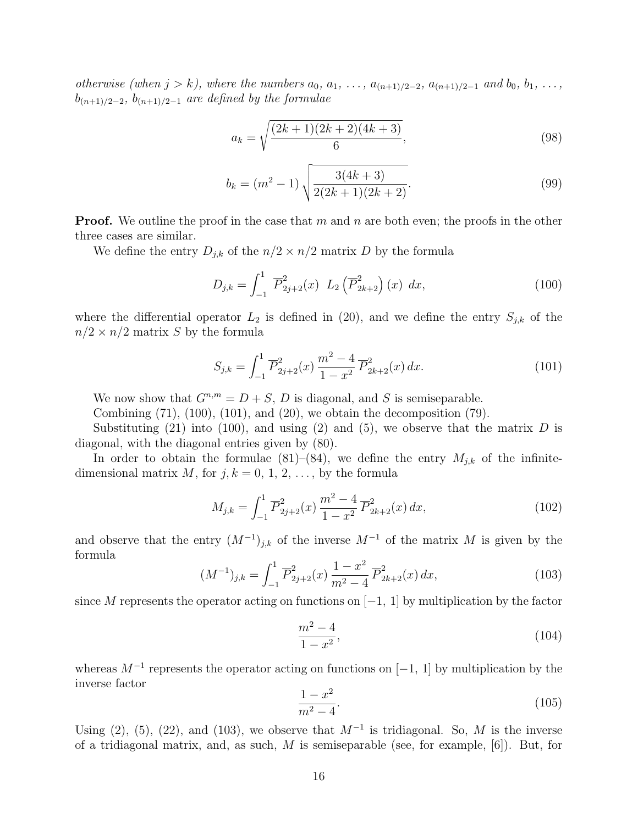otherwise (when  $j > k$ ), where the numbers  $a_0, a_1, \ldots, a_{(n+1)/2-2}, a_{(n+1)/2-1}$  and  $b_0, b_1, \ldots,$  $b_{(n+1)/2-2}$ ,  $b_{(n+1)/2-1}$  are defined by the formulae

$$
a_k = \sqrt{\frac{(2k+1)(2k+2)(4k+3)}{6}},\tag{98}
$$

$$
b_k = (m^2 - 1) \sqrt{\frac{3(4k+3)}{2(2k+1)(2k+2)}}.
$$
\n(99)

**Proof.** We outline the proof in the case that m and n are both even; the proofs in the other three cases are similar.

We define the entry  $D_{j,k}$  of the  $n/2 \times n/2$  matrix D by the formula

$$
D_{j,k} = \int_{-1}^{1} \overline{P}_{2j+2}^{2}(x) L_{2}(\overline{P}_{2k+2}^{2})(x) dx,
$$
 (100)

where the differential operator  $L_2$  is defined in (20), and we define the entry  $S_{j,k}$  of the  $n/2 \times n/2$  matrix S by the formula

$$
S_{j,k} = \int_{-1}^{1} \overline{P}_{2j+2}^{2}(x) \frac{m^{2}-4}{1-x^{2}} \overline{P}_{2k+2}^{2}(x) dx.
$$
 (101)

We now show that  $G^{n,m} = D + S$ , D is diagonal, and S is semiseparable.

Combining  $(71)$ ,  $(100)$ ,  $(101)$ , and  $(20)$ , we obtain the decomposition  $(79)$ .

Substituting (21) into (100), and using (2) and (5), we observe that the matrix  $D$  is diagonal, with the diagonal entries given by (80).

In order to obtain the formulae (81)–(84), we define the entry  $M_{j,k}$  of the infinitedimensional matrix M, for  $j, k = 0, 1, 2, \ldots$ , by the formula

$$
M_{j,k} = \int_{-1}^{1} \overline{P}_{2j+2}^{2}(x) \frac{m^{2} - 4}{1 - x^{2}} \overline{P}_{2k+2}^{2}(x) dx,
$$
\n(102)

and observe that the entry  $(M^{-1})_{j,k}$  of the inverse  $M^{-1}$  of the matrix M is given by the formula

$$
(M^{-1})_{j,k} = \int_{-1}^{1} \overline{P}_{2j+2}^{2}(x) \frac{1-x^{2}}{m^{2}-4} \overline{P}_{2k+2}^{2}(x) dx,
$$
\n(103)

since M represents the operator acting on functions on  $[-1, 1]$  by multiplication by the factor

$$
\frac{m^2 - 4}{1 - x^2},\tag{104}
$$

whereas  $M^{-1}$  represents the operator acting on functions on [-1, 1] by multiplication by the inverse factor

$$
\frac{1-x^2}{m^2-4}.\tag{105}
$$

Using (2), (5), (22), and (103), we observe that  $M^{-1}$  is tridiagonal. So, M is the inverse of a tridiagonal matrix, and, as such,  $M$  is semiseparable (see, for example, [6]). But, for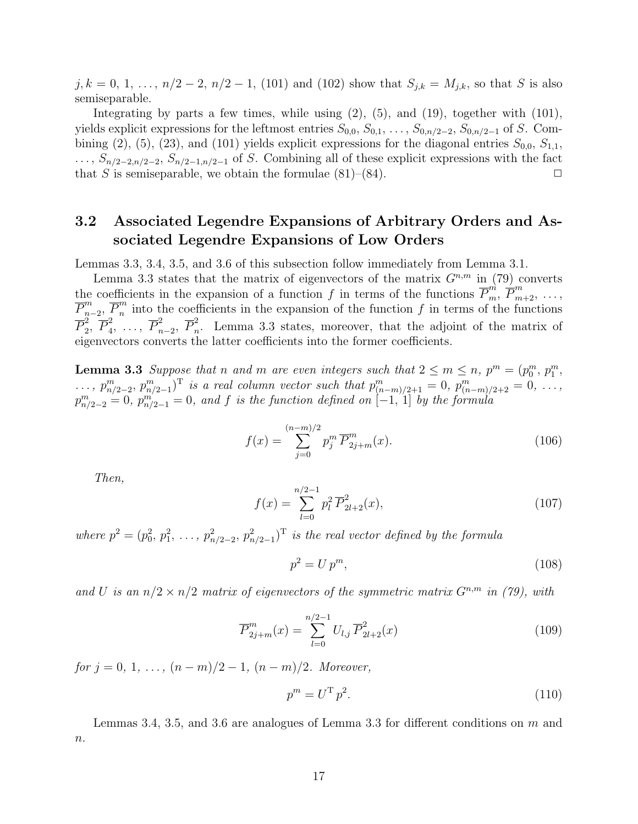$j, k = 0, 1, \ldots, n/2 - 2, n/2 - 1, (101)$  and  $(102)$  show that  $S_{j,k} = M_{j,k}$ , so that S is also semiseparable.

Integrating by parts a few times, while using  $(2)$ ,  $(5)$ , and  $(19)$ , together with  $(101)$ , yields explicit expressions for the leftmost entries  $S_{0,0}, S_{0,1}, \ldots, S_{0,n/2-2}, S_{0,n/2-1}$  of S. Combining (2), (5), (23), and (101) yields explicit expressions for the diagonal entries  $S_{0,0}$ ,  $S_{1,1}$ ,  $\ldots$ ,  $S_{n/2-2,n/2-2}$ ,  $S_{n/2-1,n/2-1}$  of S. Combining all of these explicit expressions with the fact that S is semiseparable, we obtain the formulae  $(81)$ – $(84)$ .

### 3.2 Associated Legendre Expansions of Arbitrary Orders and Associated Legendre Expansions of Low Orders

Lemmas 3.3, 3.4, 3.5, and 3.6 of this subsection follow immediately from Lemma 3.1.

Lemma 3.3 states that the matrix of eigenvectors of the matrix  $G^{n,m}$  in (79) converts the coefficients in the expansion of a function f in terms of the functions  $\overline{P}_m^m$ ,  $\overline{P}_{m+2}^m$ , ...,  $\overline{P}^m_{n}$  $\frac{m}{n-2}, \overline{P}_n^m$  $\frac{m}{n}$  into the coefficients in the expansion of the function f in terms of the functions  $\overline{P}_2^2$  $_2^2, \overline{P}_4^2$  $\frac{2}{4}, \ldots, \overline{P}_n^2$  $\frac{2}{n-2}$ ,  $\overline{P}_n^2$  $\sum_{n=1}^{\infty}$ . Lemma 3.3 states, moreover, that the adjoint of the matrix of eigenvectors converts the latter coefficients into the former coefficients.

**Lemma 3.3** Suppose that n and m are even integers such that  $2 \le m \le n$ ,  $p^m = (p_0^m, p_1^m,$  $\ldots, p_{n/2-2}^m, p_{n/2-1}^m$  is a real column vector such that  $p_{(n-m)/2+1}^m = 0, p_{(n-m)/2+2}^m = 0, \ldots$  $p_{n/2-2}^m = 0$ ,  $p_{n/2-1}^m = 0$ , and f is the function defined on  $[-1, 1]$  by the formula

$$
f(x) = \sum_{j=0}^{(n-m)/2} p_j^m \overline{P}_{2j+m}^m(x).
$$
 (106)

Then,

$$
f(x) = \sum_{l=0}^{n/2-1} p_l^2 \overline{P}_{2l+2}^2(x),
$$
\n(107)

where  $p^2 = (p_0^2, p_1^2, \ldots, p_{n/2-2}^2, p_{n/2-1}^2)$ <sup>T</sup> is the real vector defined by the formula

$$
p^2 = U p^m,\tag{108}
$$

and U is an  $n/2 \times n/2$  matrix of eigenvectors of the symmetric matrix  $G^{n,m}$  in (79), with

$$
\overline{P}_{2j+m}^m(x) = \sum_{l=0}^{n/2-1} U_{l,j} \,\overline{P}_{2l+2}^2(x) \tag{109}
$$

for  $j = 0, 1, \ldots, (n - m)/2 - 1, (n - m)/2$ . Moreover,

$$
p^m = U^{\mathrm{T}} p^2. \tag{110}
$$

Lemmas 3.4, 3.5, and 3.6 are analogues of Lemma 3.3 for different conditions on  $m$  and  $\boldsymbol{n}.$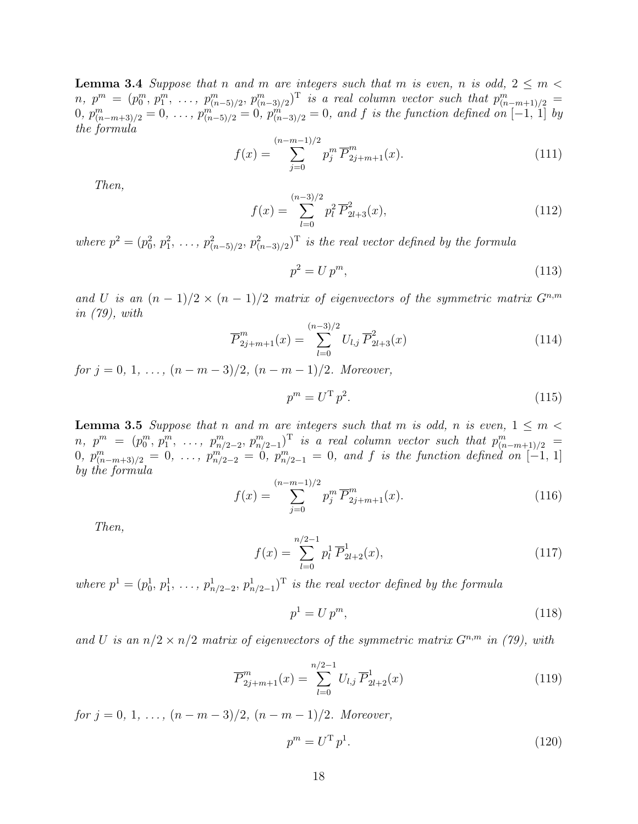**Lemma 3.4** Suppose that n and m are integers such that m is even, n is odd,  $2 \le m$  $n, p^m = (p_0^m, p_1^m, \ldots, p_{(n-5)/2}^m, p_{(n-3)/2}^m)$  is a real column vector such that  $p_{(n-m+1)/2}^m =$  $(0, p_{(n-m+3)/2}^m = 0, \ldots, p_{(n-5)/2}^m = 0, p_{(n-3)/2}^m = 0, \text{ and } f \text{ is the function defined on } [-1, 1]$  by the formula

$$
f(x) = \sum_{j=0}^{(n-m-1)/2} p_j^m \overline{P}_{2j+m+1}^m(x).
$$
 (111)

Then,

$$
f(x) = \sum_{l=0}^{(n-3)/2} p_l^2 \overline{P}_{2l+3}^2(x),
$$
\n(112)

where  $p^2 = (p_0^2, p_1^2, \ldots, p_{(n-5)/2}^2, p_{(n-3)/2}^2)^{\mathrm{T}}$  is the real vector defined by the formula

$$
p^2 = U p^m,\tag{113}
$$

and U is an  $(n-1)/2 \times (n-1)/2$  matrix of eigenvectors of the symmetric matrix  $G^{n,m}$ in (79), with

$$
\overline{P}_{2j+m+1}^m(x) = \sum_{l=0}^{(n-3)/2} U_{l,j} \,\overline{P}_{2l+3}^2(x) \tag{114}
$$

for  $j = 0, 1, \ldots, (n - m - 3)/2, (n - m - 1)/2$ . Moreover,

$$
p^m = U^{\mathrm{T}} p^2. \tag{115}
$$

**Lemma 3.5** Suppose that n and m are integers such that m is odd, n is even,  $1 \le m \le$  $n, p^m = (p_0^m, p_1^m, \ldots, p_{n/2-2}^m, p_{n/2-1}^m)^T$  is a real column vector such that  $p_{(n-m+1)/2}^m =$  $0, p_{(n-m+3)/2}^m = 0, \ldots, p_{n/2-2}^m = 0, p_{n/2-1}^m = 0, \text{ and } f \text{ is the function defined on } [-1, 1]$ by the formula

$$
f(x) = \sum_{j=0}^{(n-m-1)/2} p_j^m \overline{P}_{2j+m+1}^m(x).
$$
 (116)

Then,

$$
f(x) = \sum_{l=0}^{n/2-1} p_l^1 \overline{P}_{2l+2}^1(x),
$$
\n(117)

where  $p^1 = (p_0^1, p_1^1, \ldots, p_{n/2-2}^1, p_{n/2-1}^1)$ <sup>T</sup> is the real vector defined by the formula

$$
p^1 = U p^m,\tag{118}
$$

and U is an  $n/2 \times n/2$  matrix of eigenvectors of the symmetric matrix  $G^{n,m}$  in (79), with

$$
\overline{P}_{2j+m+1}^m(x) = \sum_{l=0}^{n/2-1} U_{l,j} \,\overline{P}_{2l+2}^1(x) \tag{119}
$$

for  $j = 0, 1, \ldots, (n - m - 3)/2, (n - m - 1)/2$ . Moreover,

$$
p^m = U^{\mathrm{T}} p^1. \tag{120}
$$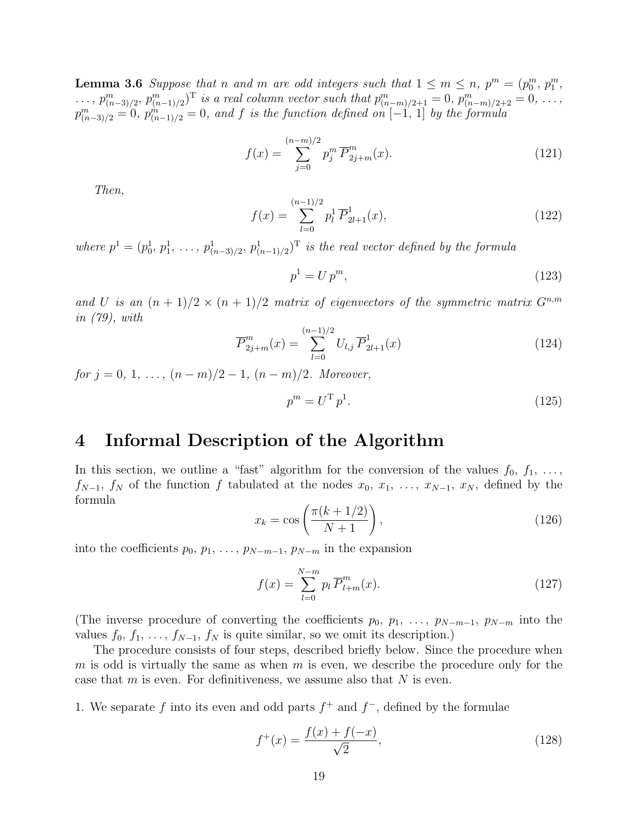**Lemma 3.6** Suppose that n and m are odd integers such that  $1 \le m \le n$ ,  $p^m = (p_0^m, p_1^m,$  $\ldots$ ,  $p_{(n-3)/2}^m$ ,  $p_{(n-1)/2}^m$  is a real column vector such that  $p_{(n-m)/2+1}^m = 0$ ,  $p_{(n-m)/2+2}^m = 0$ ,  $\ldots$ ,  $p_{(n-3)/2}^m = 0$ ,  $p_{(n-1)/2}^m = 0$ , and f is the function defined on  $[-1, 1]$  by the formula

$$
f(x) = \sum_{j=0}^{(n-m)/2} p_j^m \overline{P}_{2j+m}^m(x).
$$
 (121)

Then,

$$
f(x) = \sum_{l=0}^{(n-1)/2} p_l^1 \overline{P}_{2l+1}^1(x),
$$
\n(122)

where  $p^1 = (p_0^1, p_1^1, \ldots, p_{(n-3)/2}^1, p_{(n-1)/2}^1)$  is the real vector defined by the formula

$$
p^1 = U p^m,\tag{123}
$$

and U is an  $(n + 1)/2 \times (n + 1)/2$  matrix of eigenvectors of the symmetric matrix  $G^{n,m}$ in (79), with

$$
\overline{P}_{2j+m}^{m}(x) = \sum_{l=0}^{(n-1)/2} U_{l,j} \,\overline{P}_{2l+1}^{1}(x) \tag{124}
$$

for  $j = 0, 1, \ldots, (n - m)/2 - 1, (n - m)/2$ . Moreover,

$$
p^m = U^{\mathrm{T}} p^1. \tag{125}
$$

# 4 Informal Description of the Algorithm

In this section, we outline a "fast" algorithm for the conversion of the values  $f_0, f_1, \ldots,$  $f_{N-1}$ ,  $f_N$  of the function f tabulated at the nodes  $x_0, x_1, \ldots, x_{N-1}, x_N$ , defined by the formula

$$
x_k = \cos\left(\frac{\pi(k+1/2)}{N+1}\right),\tag{126}
$$

into the coefficients  $p_0, p_1, \ldots, p_{N-m-1}, p_{N-m}$  in the expansion

$$
f(x) = \sum_{l=0}^{N-m} p_l \overline{P}_{l+m}^m(x).
$$
 (127)

(The inverse procedure of converting the coefficients  $p_0, p_1, \ldots, p_{N-m-1}, p_{N-m}$  into the values  $f_0, f_1, \ldots, f_{N-1}, f_N$  is quite similar, so we omit its description.)

The procedure consists of four steps, described briefly below. Since the procedure when  $m$  is odd is virtually the same as when  $m$  is even, we describe the procedure only for the case that  $m$  is even. For definitiveness, we assume also that  $N$  is even.

1. We separate f into its even and odd parts  $f^+$  and  $f^-$ , defined by the formulae

$$
f^{+}(x) = \frac{f(x) + f(-x)}{\sqrt{2}},
$$
\n(128)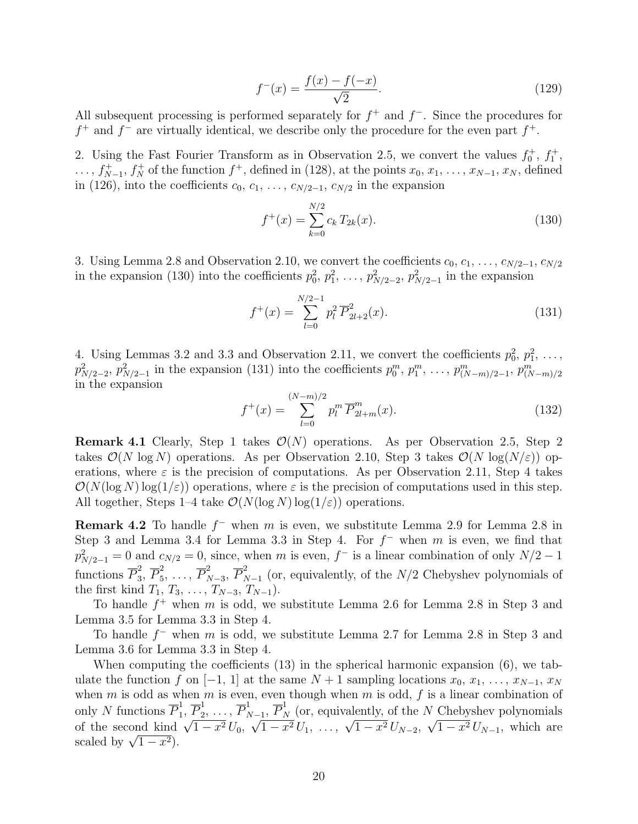$$
f^{-}(x) = \frac{f(x) - f(-x)}{\sqrt{2}}.
$$
\n(129)

All subsequent processing is performed separately for  $f^+$  and  $f^-$ . Since the procedures for  $f^+$  and  $f^-$  are virtually identical, we describe only the procedure for the even part  $f^+$ .

2. Using the Fast Fourier Transform as in Observation 2.5, we convert the values  $f_0^+, f_1^+,$  $\dots, f_{N-1}^+$ ,  $f_N^+$  of the function  $f^+$ , defined in (128), at the points  $x_0, x_1, \dots, x_{N-1}, x_N$ , defined in (126), into the coefficients  $c_0, c_1, \ldots, c_{N/2-1}, c_{N/2}$  in the expansion

$$
f^+(x) = \sum_{k=0}^{N/2} c_k T_{2k}(x).
$$
 (130)

3. Using Lemma 2.8 and Observation 2.10, we convert the coefficients  $c_0, c_1, \ldots, c_{N/2-1}, c_{N/2}$ in the expansion (130) into the coefficients  $p_0^2, p_1^2, \ldots, p_{N/2-2}^2, p_{N/2-1}^2$  in the expansion

$$
f^{+}(x) = \sum_{l=0}^{N/2-1} p_l^2 \overline{P}_{2l+2}^2(x).
$$
 (131)

4. Using Lemmas 3.2 and 3.3 and Observation 2.11, we convert the coefficients  $p_0^2, p_1^2, \ldots$ ,  $p_{N/2-2}^2$ ,  $p_{N/2-1}^2$  in the expansion (131) into the coefficients  $p_0^m, p_1^m, \ldots, p_{(N-m)/2-1}^m, p_{(N-m)/2}^m$ in the expansion

$$
f^{+}(x) = \sum_{l=0}^{(N-m)/2} p_l^m \overline{P}_{2l+m}^m(x).
$$
 (132)

**Remark 4.1** Clearly, Step 1 takes  $\mathcal{O}(N)$  operations. As per Observation 2.5, Step 2 takes  $\mathcal{O}(N \log N)$  operations. As per Observation 2.10, Step 3 takes  $\mathcal{O}(N \log(N/\varepsilon))$  operations, where  $\varepsilon$  is the precision of computations. As per Observation 2.11, Step 4 takes  $\mathcal{O}(N(\log N) \log(1/\varepsilon))$  operations, where  $\varepsilon$  is the precision of computations used in this step. All together, Steps 1–4 take  $\mathcal{O}(N(\log N) \log(1/\varepsilon))$  operations.

**Remark 4.2** To handle  $f^-$  when m is even, we substitute Lemma 2.9 for Lemma 2.8 in Step 3 and Lemma 3.4 for Lemma 3.3 in Step 4. For  $f^-$  when m is even, we find that  $p_{N/2-1}^2 = 0$  and  $c_{N/2} = 0$ , since, when m is even, f<sup>-</sup> is a linear combination of only  $N/2 - 1$ functions  $\overline{P}_3^2$  $\overline{P}_3^2, \overline{P}_5^2$  $\frac{2}{5}, \ldots, \overline{P}_{N}^{2}$  $^2_{N-3}, \overline{P}^2_{N}$  $_{N-1}^2$  (or, equivalently, of the  $N/2$  Chebyshev polynomials of the first kind  $T_1, T_3, \ldots, T_{N-3}, T_{N-1}$ .

To handle  $f^+$  when m is odd, we substitute Lemma 2.6 for Lemma 2.8 in Step 3 and Lemma 3.5 for Lemma 3.3 in Step 4.

To handle  $f^-$  when m is odd, we substitute Lemma 2.7 for Lemma 2.8 in Step 3 and Lemma 3.6 for Lemma 3.3 in Step 4.

When computing the coefficients (13) in the spherical harmonic expansion (6), we tabulate the function f on [−1, 1] at the same  $N + 1$  sampling locations  $x_0, x_1, \ldots, x_{N-1}, x_N$ when  $m$  is odd as when  $m$  is even, even though when  $m$  is odd,  $f$  is a linear combination of only N functions  $\overline{P}_1^1$  $\frac{1}{1}$ ,  $\overline{P}_2^1$  $\frac{1}{2}, \ldots, \overline{P}_{N}^{1}$ only N functions  $\overline{P}_1^1$ ,  $\overline{P}_2^1$ , ...,  $\overline{P}_{N-1}^1$ ,  $\overline{P}_N^1$  (or, equivalently, of the N Chebyshev polynomials of the second kind  $\sqrt{1-x^2} U_0$ ,  $\sqrt{1-x^2} U_1$ , ...,  $\sqrt{1-x^2} U_{N-2}$ ,  $\sqrt{1-x^2} U_{N-1}$ , which √  $\frac{1}{1-x^2} \frac{1}{U_1}, \ldots, \frac{\sqrt{1-x^2}}{U_{N-2}},$  $^{\prime}$  $\overline{1-x^2} U_{N-1}$ , which are or the second kind<br>scaled by  $\sqrt{1-x^2}$ ).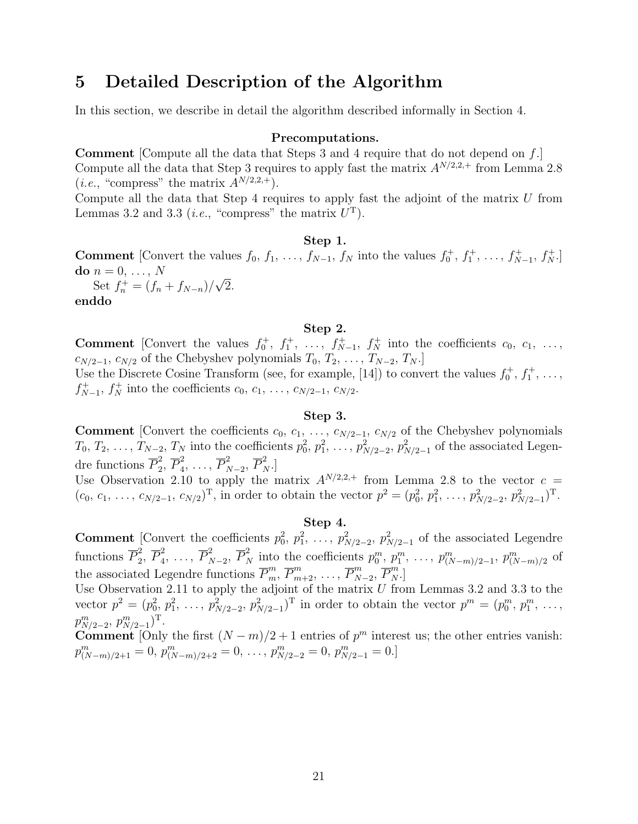### 5 Detailed Description of the Algorithm

In this section, we describe in detail the algorithm described informally in Section 4.

#### Precomputations.

**Comment** [Compute all the data that Steps 3 and 4 require that do not depend on  $f$ .] Compute all the data that Step 3 requires to apply fast the matrix  $A^{N/2,2,+}$  from Lemma 2.8 (*i.e.*, "compress" the matrix  $A^{N/2,2,+}$ ).

Compute all the data that Step 4 requires to apply fast the adjoint of the matrix  $U$  from Lemmas 3.2 and 3.3 (*i.e.*, "compress" the matrix  $U<sup>T</sup>$ ).

#### Step 1.

**Comment** [Convert the values  $f_0, f_1, \ldots, f_{N-1}, f_N$  into the values  $f_0^+, f_1^+, \ldots, f_{N-1}^+, f_N^+$ ] do  $n = 0, \ldots, N$ √

Set  $f_n^+ = (f_n + f_{N-n})/$ 2. enddo

#### Step 2.

**Comment** [Convert the values  $f_0^+, f_1^+, \ldots, f_{N-1}^+, f_N^+$  into the coefficients  $c_0, c_1, \ldots,$  $c_{N/2-1}, c_{N/2}$  of the Chebyshev polynomials  $T_0, T_2, \ldots, T_{N-2}, T_N$ .] Use the Discrete Cosine Transform (see, for example, [14]) to convert the values  $f_0^+, f_1^+, \ldots,$ 

 $f_{N-1}^+$ ,  $f_N^+$  into the coefficients  $c_0, c_1, \ldots, c_{N/2-1}, c_{N/2}$ .

#### Step 3.

**Comment** [Convert the coefficients  $c_0, c_1, \ldots, c_{N/2-1}, c_{N/2}$  of the Chebyshev polynomials  $T_0, T_2, \ldots, T_{N-2}, T_N$  into the coefficients  $p_0^2, p_1^2, \ldots, p_{N/2-2}^2, p_{N/2-1}^2$  of the associated Legendre functions  $\overline{P}_2^2$  $_2^2,\,\overline{P}_4^2$  $\overline{P}_4^2, \ldots, \overline{P}_N^2$  $_{N-2}^2, \overline{P}_N^2.$ ]

Use Observation 2.10 to apply the matrix  $A^{N/2,2,+}$  from Lemma 2.8 to the vector  $c =$  $(c_0, c_1, \ldots, c_{N/2-1}, c_{N/2})^{\mathrm{T}}$ , in order to obtain the vector  $p^2 = (p_0^2, p_1^2, \ldots, p_{N/2-2}^2, p_{N/2-1}^2)^{\mathrm{T}}$ .

#### Step 4.

**Comment** [Convert the coefficients  $p_0^2$ ,  $p_1^2$ , ...,  $p_{N/2-2}^2$ ,  $p_{N/2-1}^2$  of the associated Legendre functions  $\overline{P}_2^2$  $_2^2,\ \overline{P}_4^2$  $\frac{2}{4}, \ldots, \overline{P}_N^2$  $p_0^2, p_1^2, p_2^2, p_3^2, p_1^2, \ldots, p_{(N-m)/2-1}^m, p_{(N-m)/2}^m$  of the associated Legendre functions  $\overline{P}_m^m$ ,  $\overline{P}_{m+2}^m$ , ...,  $\overline{P}_N^m$  $_{N-2}^m$ ,  $\overline{P}_N^m$ .]

Use Observation 2.11 to apply the adjoint of the matrix  $U$  from Lemmas 3.2 and 3.3 to the vector  $p^2 = (p_0^2, p_1^2, \ldots, p_{N/2-2}^2, p_{N/2-1}^2)^T$  in order to obtain the vector  $p^m = (p_0^m, p_1^m, \ldots, p_M^m)$  $p_{N/2-2}^m$ ,  $p_{N/2-1}^m$ <sup>T</sup>.

**Comment** [Only the first  $(N-m)/2+1$  entries of  $p<sup>m</sup>$  interest us; the other entries vanish:  $p_{(N-m)/2+1}^m = 0, p_{(N-m)/2+2}^m = 0, \ldots, p_{N/2-2}^m = 0, p_{N/2-1}^m = 0.$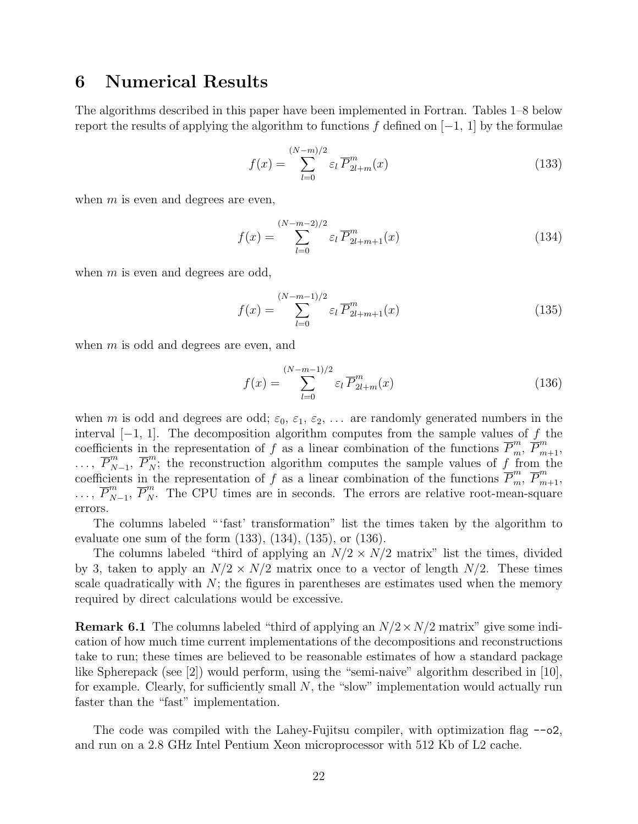# 6 Numerical Results

The algorithms described in this paper have been implemented in Fortran. Tables 1–8 below report the results of applying the algorithm to functions f defined on  $[-1, 1]$  by the formulae

$$
f(x) = \sum_{l=0}^{(N-m)/2} \varepsilon_l \overline{P}_{2l+m}^m(x)
$$
 (133)

when  $m$  is even and degrees are even,

$$
f(x) = \sum_{l=0}^{(N-m-2)/2} \varepsilon_l \overline{P}^m_{2l+m+1}(x)
$$
 (134)

when  $m$  is even and degrees are odd,

$$
f(x) = \sum_{l=0}^{(N-m-1)/2} \varepsilon_l \overline{P}_{2l+m+1}^m(x)
$$
 (135)

when m is odd and degrees are even, and

$$
f(x) = \sum_{l=0}^{(N-m-1)/2} \varepsilon_l \overline{P}_{2l+m}^m(x)
$$
 (136)

when m is odd and degrees are odd;  $\varepsilon_0$ ,  $\varepsilon_1$ ,  $\varepsilon_2$ , ... are randomly generated numbers in the interval  $[-1, 1]$ . The decomposition algorithm computes from the sample values of f the coefficients in the representation of f as a linear combination of the functions  $\overline{P}_m^m$ ,  $\overline{P}_{m+1}^m$ ,  $\ldots, \overline{P}_N^m$  $\overline{P}_{N-1}^m$ ,  $\overline{P}_{N}^m$ ; the reconstruction algorithm computes the sample values of f from the coefficients in the representation of f as a linear combination of the functions  $\overline{P}_m^m$ ,  $\overline{P}_{m+1}^m$ ,  $\ldots, \overline{P}_N^m$  $\overline{P}_{N-1}^m$ ,  $\overline{P}_{N}^m$ . The CPU times are in seconds. The errors are relative root-mean-square errors.

The columns labeled " 'fast' transformation" list the times taken by the algorithm to evaluate one sum of the form (133), (134), (135), or (136).

The columns labeled "third of applying an  $N/2 \times N/2$  matrix" list the times, divided by 3, taken to apply an  $N/2 \times N/2$  matrix once to a vector of length  $N/2$ . These times scale quadratically with  $N$ ; the figures in parentheses are estimates used when the memory required by direct calculations would be excessive.

**Remark 6.1** The columns labeled "third of applying an  $N/2 \times N/2$  matrix" give some indication of how much time current implementations of the decompositions and reconstructions take to run; these times are believed to be reasonable estimates of how a standard package like Spherepack (see [2]) would perform, using the "semi-naive" algorithm described in [10], for example. Clearly, for sufficiently small  $N$ , the "slow" implementation would actually run faster than the "fast" implementation.

The code was compiled with the Lahey-Fujitsu compiler, with optimization flag --o2, and run on a 2.8 GHz Intel Pentium Xeon microprocessor with 512 Kb of L2 cache.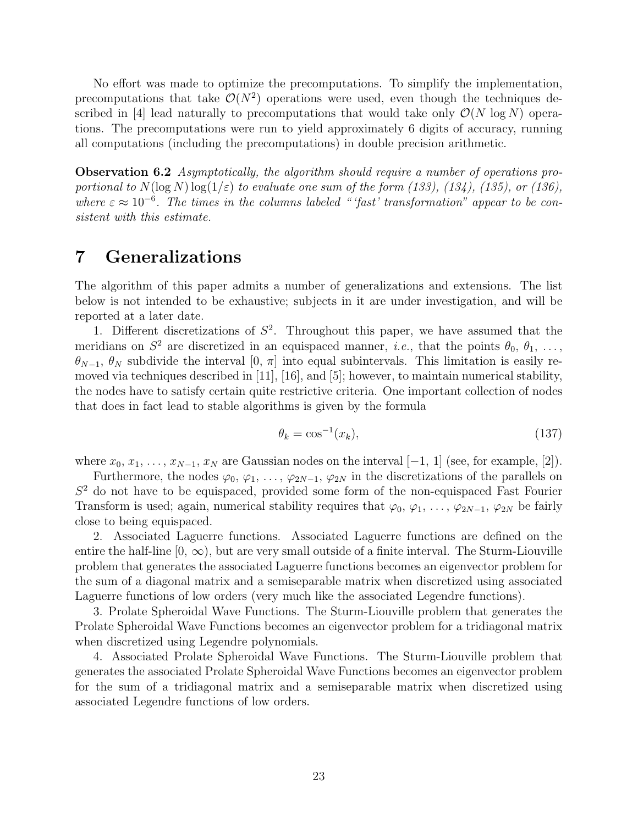No effort was made to optimize the precomputations. To simplify the implementation, precomputations that take  $\mathcal{O}(N^2)$  operations were used, even though the techniques described in [4] lead naturally to precomputations that would take only  $\mathcal{O}(N \log N)$  operations. The precomputations were run to yield approximately 6 digits of accuracy, running all computations (including the precomputations) in double precision arithmetic.

Observation 6.2 Asymptotically, the algorithm should require a number of operations proportional to  $N(\log N) \log(1/\varepsilon)$  to evaluate one sum of the form (133), (134), (135), or (136), where  $\varepsilon \approx 10^{-6}$ . The times in the columns labeled "'fast' transformation" appear to be consistent with this estimate.

# 7 Generalizations

The algorithm of this paper admits a number of generalizations and extensions. The list below is not intended to be exhaustive; subjects in it are under investigation, and will be reported at a later date.

1. Different discretizations of  $S^2$ . Throughout this paper, we have assumed that the meridians on  $S^2$  are discretized in an equispaced manner, *i.e.*, that the points  $\theta_0, \theta_1, \ldots$ ,  $\theta_{N-1}, \theta_N$  subdivide the interval [0,  $\pi$ ] into equal subintervals. This limitation is easily removed via techniques described in [11], [16], and [5]; however, to maintain numerical stability, the nodes have to satisfy certain quite restrictive criteria. One important collection of nodes that does in fact lead to stable algorithms is given by the formula

$$
\theta_k = \cos^{-1}(x_k),\tag{137}
$$

where  $x_0, x_1, \ldots, x_{N-1}, x_N$  are Gaussian nodes on the interval  $[-1, 1]$  (see, for example, [2]).

Furthermore, the nodes  $\varphi_0, \varphi_1, \ldots, \varphi_{2N-1}, \varphi_{2N}$  in the discretizations of the parallels on  $S<sup>2</sup>$  do not have to be equispaced, provided some form of the non-equispaced Fast Fourier Transform is used; again, numerical stability requires that  $\varphi_0, \varphi_1, \ldots, \varphi_{2N-1}, \varphi_{2N}$  be fairly close to being equispaced.

2. Associated Laguerre functions. Associated Laguerre functions are defined on the entire the half-line  $[0, \infty)$ , but are very small outside of a finite interval. The Sturm-Liouville problem that generates the associated Laguerre functions becomes an eigenvector problem for the sum of a diagonal matrix and a semiseparable matrix when discretized using associated Laguerre functions of low orders (very much like the associated Legendre functions).

3. Prolate Spheroidal Wave Functions. The Sturm-Liouville problem that generates the Prolate Spheroidal Wave Functions becomes an eigenvector problem for a tridiagonal matrix when discretized using Legendre polynomials.

4. Associated Prolate Spheroidal Wave Functions. The Sturm-Liouville problem that generates the associated Prolate Spheroidal Wave Functions becomes an eigenvector problem for the sum of a tridiagonal matrix and a semiseparable matrix when discretized using associated Legendre functions of low orders.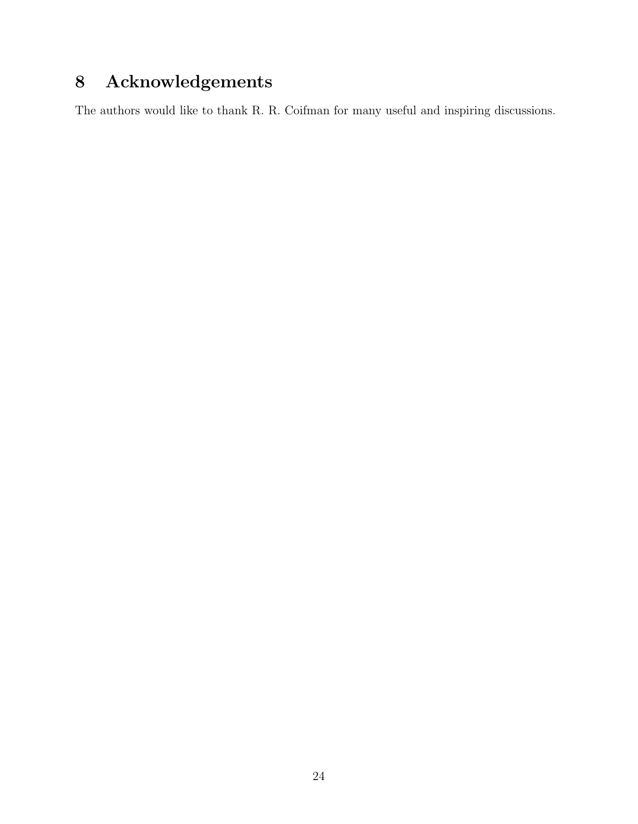# 8 Acknowledgements

The authors would like to thank R. R. Coifman for many useful and inspiring discussions.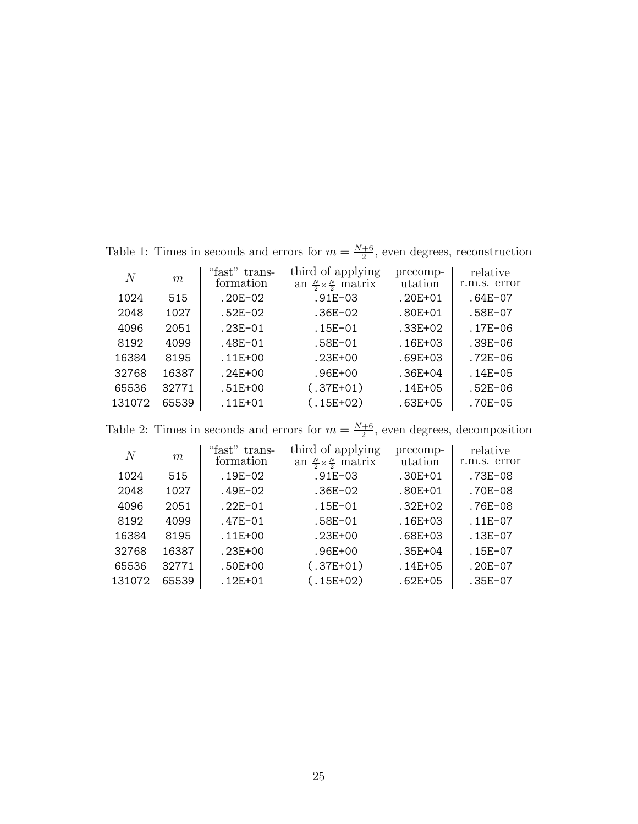| N      | m     | "fast" trans-<br>formation | third of applying<br>an $\frac{N}{2} \times \frac{N}{2}$ matrix | precomp-<br>utation | relative<br>r.m.s. error |
|--------|-------|----------------------------|-----------------------------------------------------------------|---------------------|--------------------------|
| 1024   | 515   | $.20E-02$                  | $.91E - 03$                                                     | $.20E + 01$         | $.64E-07$                |
| 2048   | 1027  | $.52E-02$                  | .36E-02                                                         | $.80E + 01$         | $.58E-07$                |
| 4096   | 2051  | $.23E-01$                  | $.15E-01$                                                       | $.33E + 02$         | $.17E-06$                |
| 8192   | 4099  | .48E-01                    | .58E-01                                                         | $.16E + 03$         | $.39E - 06$              |
| 16384  | 8195  | $.11E + 00$                | .23E+00                                                         | $.69E + 03$         | $.72E - 06$              |
| 32768  | 16387 | $.24E + 00$                | $.96E + 00$                                                     | $.36E + 04$         | $.14E - 05$              |
| 65536  | 32771 | $.51E + 00$                | $(.37E+01)$                                                     | $.14E + 05$         | $.52E - 06$              |
| 131072 | 65539 | $.11E + 01$                | $(.15E+02)$                                                     | .63E+05             | $.70E - 05$              |

Table 1: Times in seconds and errors for  $m = \frac{N+6}{2}$  $\frac{+6}{2}$ , even degrees, reconstruction

Table 2: Times in seconds and errors for  $m = \frac{N+6}{2}$  $\frac{+6}{2}$ , even degrees, decomposition

| N      | m     | "fast"<br>trans-<br>formation | third of applying<br>an $\frac{N}{2} \times \frac{N}{2}$ matrix | precomp-<br>utation | relative<br>r.m.s. error |
|--------|-------|-------------------------------|-----------------------------------------------------------------|---------------------|--------------------------|
| 1024   | 515   | $.19E-02$                     | $.91E - 03$                                                     | $.30E + 01$         | .73E-08                  |
| 2048   | 1027  | .49E-02                       | $.36E-02$                                                       | $.80E + 01$         | .70E-08                  |
| 4096   | 2051  | $.22E-01$                     | $.15E - 01$                                                     | $.32E + 02$         | .76E-08                  |
| 8192   | 4099  | .47E-01                       | .58E-01                                                         | $.16E + 03$         | $.11E-07$                |
| 16384  | 8195  | $.11E + 00$                   | .23E+00                                                         | .68E+03             | $.13E-07$                |
| 32768  | 16387 | $.23E + 00$                   | .96E+00                                                         | $.35E + 04$         | .15E-07                  |
| 65536  | 32771 | .50E+00                       | $(.37E+01)$                                                     | $.14E + 05$         | $.20E-07$                |
| 131072 | 65539 | $.12E + 01$                   | $(.15E+02)$                                                     | $.62E + 05$         | $.35E-07$                |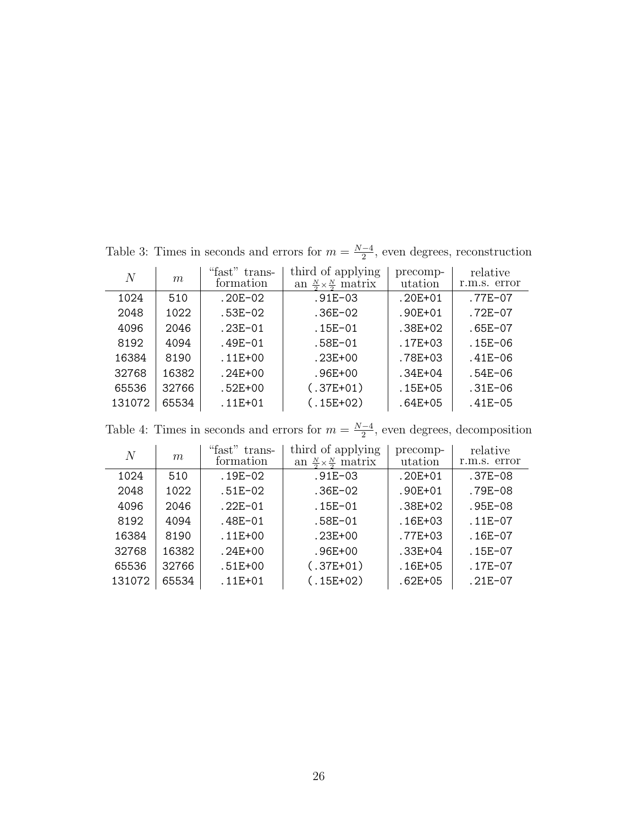| N      | m     | "fast" trans-<br>formation | third of applying<br>an $\frac{N}{2} \times \frac{N}{2}$ matrix | precomp-<br>utation | relative<br>r.m.s. error |
|--------|-------|----------------------------|-----------------------------------------------------------------|---------------------|--------------------------|
| 1024   | 510   | $.20E-02$                  | $.91E - 03$                                                     | $.20E + 01$         | $.77E-07$                |
| 2048   | 1022  | $.53E-02$                  | .36E-02                                                         | $.90E + 01$         | $.72E - 07$              |
| 4096   | 2046  | $.23E-01$                  | $.15E-01$                                                       | .38E+02             | $.65E-07$                |
| 8192   | 4094  | .49E-01                    | .58E-01                                                         | .17E+03             | $.15E-06$                |
| 16384  | 8190  | $.11E + 00$                | .23E+00                                                         | .78E+03             | $.41E - 06$              |
| 32768  | 16382 | $.24E + 00$                | .96E+00                                                         | $.34E + 04$         | $.54E-06$                |
| 65536  | 32766 | $.52E + 00$                | $(.37E+01)$                                                     | .15E+05             | $.31E - 06$              |
| 131072 | 65534 | $.11E + 01$                | $(.15E+02)$                                                     | $.64E + 05$         | $.41E - 05$              |

Table 3: Times in seconds and errors for  $m = \frac{N-4}{2}$  $\frac{-4}{2}$ , even degrees, reconstruction

Table 4: Times in seconds and errors for  $m = \frac{N-4}{2}$  $\frac{-4}{2}$ , even degrees, decomposition

| $\overline{N}$ | m     | "fast" trans-<br>formation | third of applying<br>an $\frac{N}{2} \times \frac{N}{2}$ matrix | precomp-<br>utation | relative<br>r.m.s. error |
|----------------|-------|----------------------------|-----------------------------------------------------------------|---------------------|--------------------------|
| 1024           | 510   | $.19E - 02$                | .91E-03                                                         | $.20E + 01$         | $.37E-08$                |
| 2048           | 1022  | .51E-02                    | $.36E-02$                                                       | $.90E + 01$         | .79E-08                  |
| 4096           | 2046  | $.22E-01$                  | $.15E - 01$                                                     | .38E+02             | $.95E-08$                |
| 8192           | 4094  | .48E-01                    | .58E-01                                                         | $.16E + 03$         | .11E-07                  |
| 16384          | 8190  | $.11E + 00$                | .23E+00                                                         | .77E+03             | $.16E-07$                |
| 32768          | 16382 | $.24E + 00$                | .96E+00                                                         | $.33E + 04$         | $.15E-07$                |
| 65536          | 32766 | .51E+00                    | $(.37E+01)$                                                     | $.16E + 05$         | $.17E-07$                |
| 131072         | 65534 | $.11E + 01$                | $(.15E+02)$                                                     | $.62E + 05$         | $.21E-07$                |
|                |       |                            |                                                                 |                     |                          |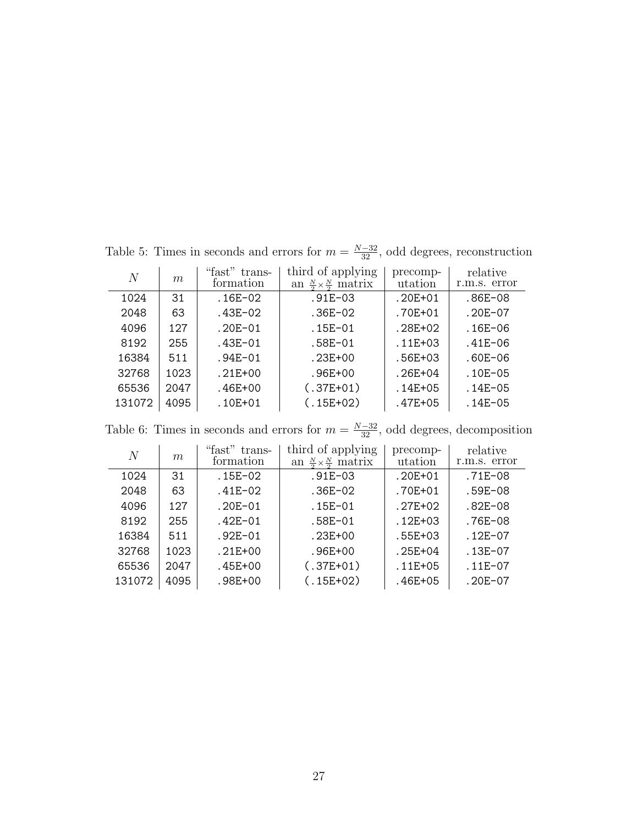| $\overline{N}$ | m    | "fast"<br>trans-<br>formation | third of applying<br>an $\frac{N}{2} \times \frac{N}{2}$ matrix | precomp-<br>utation | relative<br>r.m.s. error |
|----------------|------|-------------------------------|-----------------------------------------------------------------|---------------------|--------------------------|
| 1024           | 31   | $.16E-02$                     | $.91E - 03$                                                     | $.20E + 01$         | $.86E-08$                |
| 2048           | 63   | .43E-02                       | $.36E-02$                                                       | .70E+01             | $.20E-07$                |
| 4096           | 127  | $.20E - 01$                   | $.15E-01$                                                       | .28E+02             | $.16E-06$                |
| 8192           | 255  | .43E-01                       | $.58E-01$                                                       | $.11E + 03$         | $.41E - 06$              |
| 16384          | 511  | $.94E - 01$                   | $.23E + 00$                                                     | .56E+03             | .60E-06                  |
| 32768          | 1023 | $.21E + 00$                   | $.96E + 00$                                                     | $.26E + 04$         | $.10E - 05$              |
| 65536          | 2047 | $.46E + 00$                   | $(.37E+01)$                                                     | $.14E + 05$         | $.14E - 05$              |
| 131072         | 4095 | $.10E + 01$                   | $(.15E+02)$                                                     | $.47E + 05$         | $.14E - 05$              |

Table 5: Times in seconds and errors for  $m = \frac{N-32}{32}$ , odd degrees, reconstruction

Table 6: Times in seconds and errors for  $m = \frac{N-32}{32}$ , odd degrees, decomposition

| $\overline{N}$ | m    | "fast" trans-<br>formation | third of applying<br>an $\frac{N}{2} \times \frac{N}{2}$ matrix | precomp-<br>utation | relative<br>r.m.s. error |
|----------------|------|----------------------------|-----------------------------------------------------------------|---------------------|--------------------------|
| 1024           | 31   | .15E-02                    | $.91E - 03$                                                     | $.20E + 01$         | .71E-08                  |
| 2048           | 63   | .41E-02                    | .36E-02                                                         | .70E+01             | .59E-08                  |
| 4096           | 127  | $.20E - 01$                | $.15E-01$                                                       | $.27E + 02$         | .82E-08                  |
| 8192           | 255  | $.42E - 01$                | $.58E-01$                                                       | $.12E + 03$         | .76E-08                  |
| 16384          | 511  | $.92E - 01$                | $.23E + 00$                                                     | .55E+03             | $.12E - 07$              |
| 32768          | 1023 | $.21E + 00$                | .96E+00                                                         | $.25E + 04$         | $.13E-07$                |
| 65536          | 2047 | .45E+00                    | $(.37E+01)$                                                     | $.11E + 05$         | $.11E-07$                |
| 131072         | 4095 | .98E+00                    | $(.15E+02)$                                                     | .46E+05             | $.20E-07$                |
|                |      |                            |                                                                 |                     |                          |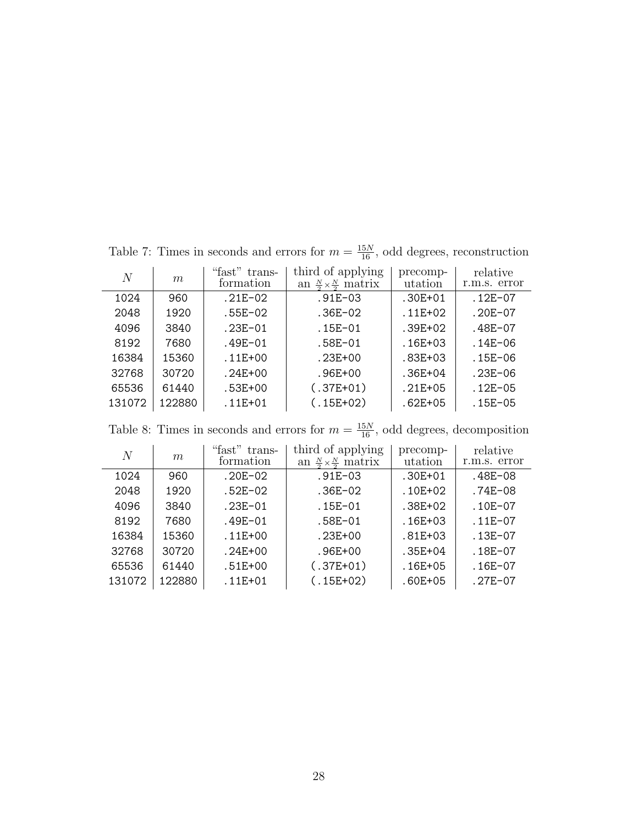| N      | m      | "fast" trans-<br>formation | third of applying<br>an $\frac{N}{2} \times \frac{N}{2}$ matrix | precomp-<br>utation | relative<br>r.m.s. error |
|--------|--------|----------------------------|-----------------------------------------------------------------|---------------------|--------------------------|
| 1024   | 960    | $.21E-02$                  | $.91E - 03$                                                     | $.30E + 01$         | $.12E-07$                |
| 2048   | 1920   | .55E-02                    | .36E-02                                                         | $.11E + 02$         | .20E-07                  |
| 4096   | 3840   | $.23E-01$                  | .15E-01                                                         | $.39E + 02$         | .48E-07                  |
| 8192   | 7680   | .49E-01                    | .58E-01                                                         | $.16E + 03$         | $.14E - 06$              |
| 16384  | 15360  | $.11E + 00$                | .23E+00                                                         | .83E+03             | $.15E-06$                |
| 32768  | 30720  | $.24E + 00$                | .96E+00                                                         | $.36E + 04$         | $.23E - 06$              |
| 65536  | 61440  | $.53E + 00$                | $(.37E+01)$                                                     | $.21E + 05$         | $.12E - 05$              |
| 131072 | 122880 | $.11E + 01$                | $(.15E+02)$                                                     | $.62E + 05$         | $.15E - 05$              |

Table 7: Times in seconds and errors for  $m = \frac{15N}{16}$ , odd degrees, reconstruction

Table 8: Times in seconds and errors for  $m = \frac{15N}{16}$ , odd degrees, decomposition

| N      | m      | "fast" trans-<br>formation | third of applying<br>an $\frac{N}{2} \times \frac{N}{2}$ matrix | precomp-<br>utation | relative<br>r.m.s. error |
|--------|--------|----------------------------|-----------------------------------------------------------------|---------------------|--------------------------|
| 1024   | 960    | $.20E-02$                  | $.91E - 03$                                                     | $.30E + 01$         | .48E-08                  |
| 2048   | 1920   | $.52E-02$                  | $.36E-02$                                                       | $.10E + 02$         | $.74E-08$                |
| 4096   | 3840   | $.23E - 01$                | $.15E - 01$                                                     | .38E+02             | $.10E-07$                |
| 8192   | 7680   | $.49E - 01$                | .58E-01                                                         | $.16E + 03$         | $.11E-07$                |
| 16384  | 15360  | $.11E + 00$                | $.23E + 00$                                                     | $.81E + 03$         | $.13E-07$                |
| 32768  | 30720  | $.24E + 00$                | $.96E + 00$                                                     | $.35E + 04$         | $.18E-07$                |
| 65536  | 61440  | $.51E + 00$                | $(.37E+01)$                                                     | $.16E + 05$         | $.16E-07$                |
| 131072 | 122880 | $.11E + 01$                | $(.15E+02)$                                                     | $.60E + 05$         | $.27E-07$                |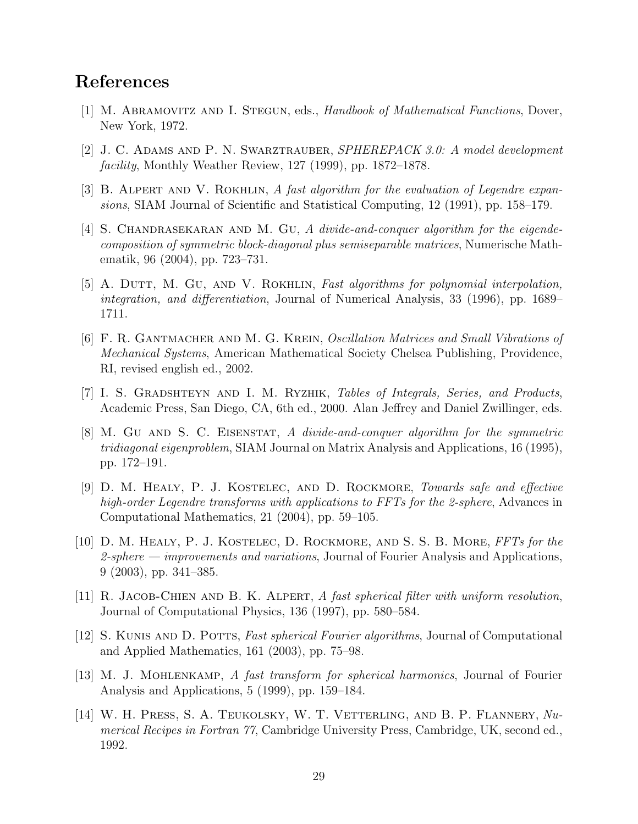# References

- [1] M. ABRAMOVITZ AND I. STEGUN, eds., Handbook of Mathematical Functions, Dover, New York, 1972.
- [2] J. C. Adams and P. N. Swarztrauber, SPHEREPACK 3.0: A model development facility, Monthly Weather Review, 127 (1999), pp. 1872–1878.
- [3] B. ALPERT AND V. ROKHLIN, A fast algorithm for the evaluation of Legendre expansions, SIAM Journal of Scientific and Statistical Computing, 12 (1991), pp. 158–179.
- [4] S. CHANDRASEKARAN AND M. GU, A divide-and-conquer algorithm for the eigendecomposition of symmetric block-diagonal plus semiseparable matrices, Numerische Mathematik, 96 (2004), pp. 723–731.
- [5] A. DUTT, M. GU, AND V. ROKHLIN, Fast algorithms for polynomial interpolation, integration, and differentiation, Journal of Numerical Analysis, 33 (1996), pp. 1689– 1711.
- [6] F. R. Gantmacher and M. G. Krein, Oscillation Matrices and Small Vibrations of Mechanical Systems, American Mathematical Society Chelsea Publishing, Providence, RI, revised english ed., 2002.
- [7] I. S. Gradshteyn and I. M. Ryzhik, Tables of Integrals, Series, and Products, Academic Press, San Diego, CA, 6th ed., 2000. Alan Jeffrey and Daniel Zwillinger, eds.
- [8] M. Gu and S. C. Eisenstat, A divide-and-conquer algorithm for the symmetric tridiagonal eigenproblem, SIAM Journal on Matrix Analysis and Applications, 16 (1995), pp. 172–191.
- [9] D. M. HEALY, P. J. KOSTELEC, AND D. ROCKMORE, Towards safe and effective high-order Legendre transforms with applications to FFTs for the 2-sphere, Advances in Computational Mathematics, 21 (2004), pp. 59–105.
- [10] D. M. Healy, P. J. Kostelec, D. Rockmore, and S. S. B. More, FFTs for the 2-sphere — improvements and variations, Journal of Fourier Analysis and Applications, 9 (2003), pp. 341–385.
- [11] R. Jacob-Chien and B. K. Alpert, A fast spherical filter with uniform resolution, Journal of Computational Physics, 136 (1997), pp. 580–584.
- [12] S. Kunis and D. Potts, Fast spherical Fourier algorithms, Journal of Computational and Applied Mathematics, 161 (2003), pp. 75–98.
- [13] M. J. Mohlenkamp, A fast transform for spherical harmonics, Journal of Fourier Analysis and Applications, 5 (1999), pp. 159–184.
- [14] W. H. Press, S. A. Teukolsky, W. T. Vetterling, and B. P. Flannery, Numerical Recipes in Fortran 77, Cambridge University Press, Cambridge, UK, second ed., 1992.